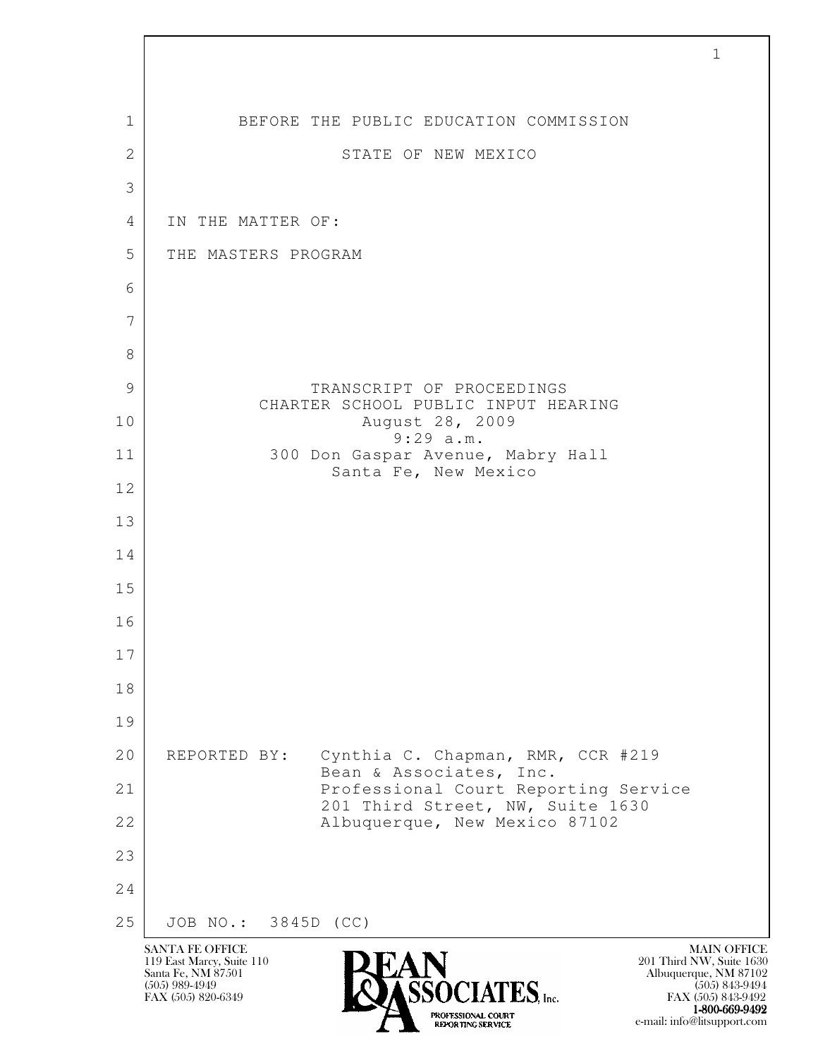| $\mathbf 1$  | BEFORE THE PUBLIC EDUCATION COMMISSION                                       |
|--------------|------------------------------------------------------------------------------|
| $\mathbf{2}$ | STATE OF NEW MEXICO                                                          |
| 3            |                                                                              |
| 4            | IN THE MATTER OF:                                                            |
| 5            | THE MASTERS PROGRAM                                                          |
| 6            |                                                                              |
| 7            |                                                                              |
| 8            |                                                                              |
| 9            | TRANSCRIPT OF PROCEEDINGS<br>CHARTER SCHOOL PUBLIC INPUT HEARING             |
| 10           | August 28, 2009<br>9:29 a.m.                                                 |
| 11           | 300 Don Gaspar Avenue, Mabry Hall<br>Santa Fe, New Mexico                    |
| 12           |                                                                              |
| 13           |                                                                              |
| 14           |                                                                              |
| 15           |                                                                              |
| 16           |                                                                              |
| 17           |                                                                              |
| 18           |                                                                              |
| 19           |                                                                              |
| 20           | Cynthia C. Chapman, RMR, CCR #219<br>REPORTED BY:<br>Bean & Associates, Inc. |
| 21           | Professional Court Reporting Service<br>201 Third Street, NW, Suite 1630     |
| 22           | Albuquerque, New Mexico 87102                                                |
| 23           |                                                                              |
| 24           |                                                                              |
| 25           | JOB NO.: 3845D (CC)                                                          |

 $\lceil$ 

EXPORTING SERVICE e-mail: info@litsupport.com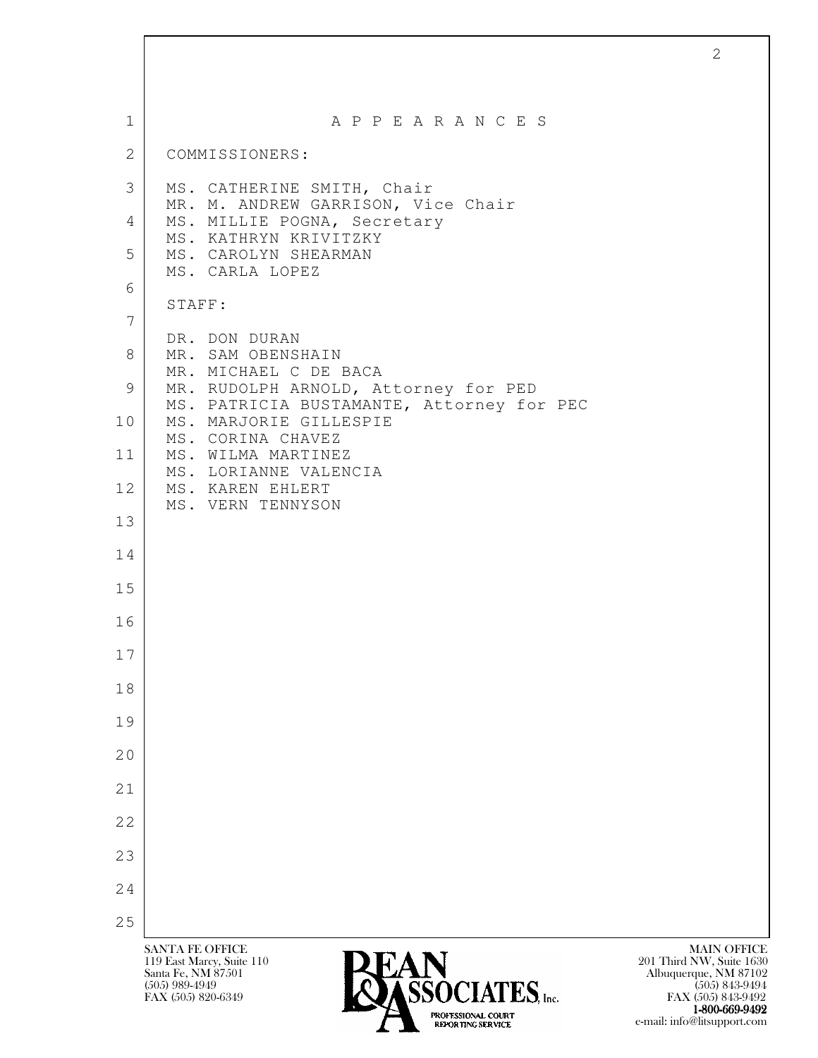| $\mathbf{1}$    | A P P E A R A N C E S                                               |  |
|-----------------|---------------------------------------------------------------------|--|
| 2               | COMMISSIONERS:                                                      |  |
| 3               | MS. CATHERINE SMITH, Chair                                          |  |
| 4               | MR. M. ANDREW GARRISON, Vice Chair<br>MS. MILLIE POGNA, Secretary   |  |
| 5               | MS. KATHRYN KRIVITZKY<br>MS. CAROLYN SHEARMAN                       |  |
| 6               | MS. CARLA LOPEZ                                                     |  |
| $7\phantom{.0}$ | STAFF:                                                              |  |
| 8               | DR. DON DURAN<br>MR. SAM OBENSHAIN                                  |  |
| 9               | MR. MICHAEL C DE BACA<br>MR. RUDOLPH ARNOLD, Attorney for PED       |  |
| 10              | MS. PATRICIA BUSTAMANTE, Attorney for PEC<br>MS. MARJORIE GILLESPIE |  |
| 11              | MS. CORINA CHAVEZ<br>MS. WILMA MARTINEZ                             |  |
| 12              | MS. LORIANNE VALENCIA<br>MS. KAREN EHLERT                           |  |
| 13              | MS. VERN TENNYSON                                                   |  |
| 14              |                                                                     |  |
| 15              |                                                                     |  |
| 16              |                                                                     |  |
| 17              |                                                                     |  |
| 18              |                                                                     |  |
| 19              |                                                                     |  |
| 20              |                                                                     |  |
| 21              |                                                                     |  |
| 22              |                                                                     |  |
| 23              |                                                                     |  |
| 24              |                                                                     |  |
| 25              |                                                                     |  |

<sup>1-800-669-9492</sup> EXPORTING SERVICE e-mail: info@litsupport.com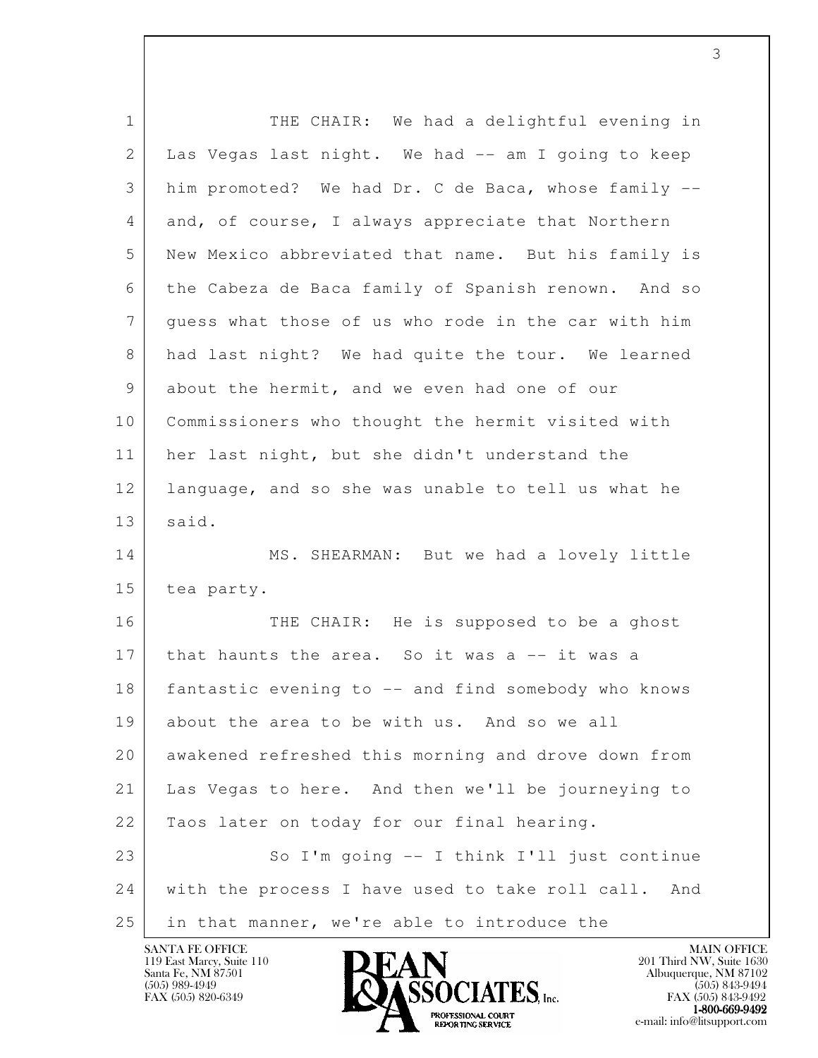| $\mathbf 1$    | THE CHAIR: We had a delightful evening in              |
|----------------|--------------------------------------------------------|
| 2              | Las Vegas last night. We had -- am I going to keep     |
| 3              | him promoted? We had Dr. C de Baca, whose family --    |
| 4              | and, of course, I always appreciate that Northern      |
| 5              | New Mexico abbreviated that name. But his family is    |
| 6              | the Cabeza de Baca family of Spanish renown. And so    |
| $7\phantom{.}$ | guess what those of us who rode in the car with him    |
| 8              | had last night? We had quite the tour. We learned      |
| 9              | about the hermit, and we even had one of our           |
| 10             | Commissioners who thought the hermit visited with      |
| 11             | her last night, but she didn't understand the          |
| 12             | language, and so she was unable to tell us what he     |
| 13             | said.                                                  |
| 14             | MS. SHEARMAN: But we had a lovely little               |
| 15             | tea party.                                             |
| 16             | THE CHAIR: He is supposed to be a ghost                |
| 17             | that haunts the area. So it was a -- it was a          |
| 18             | fantastic evening to -- and find somebody who knows    |
| 19             | about the area to be with us. And so we all            |
| 20             | awakened refreshed this morning and drove down from    |
| 21             | Las Vegas to here. And then we'll be journeying to     |
| 22             | Taos later on today for our final hearing.             |
| 23             | So I'm going -- I think I'll just continue             |
| 24             | with the process I have used to take roll call.<br>And |
| 25             | in that manner, we're able to introduce the            |

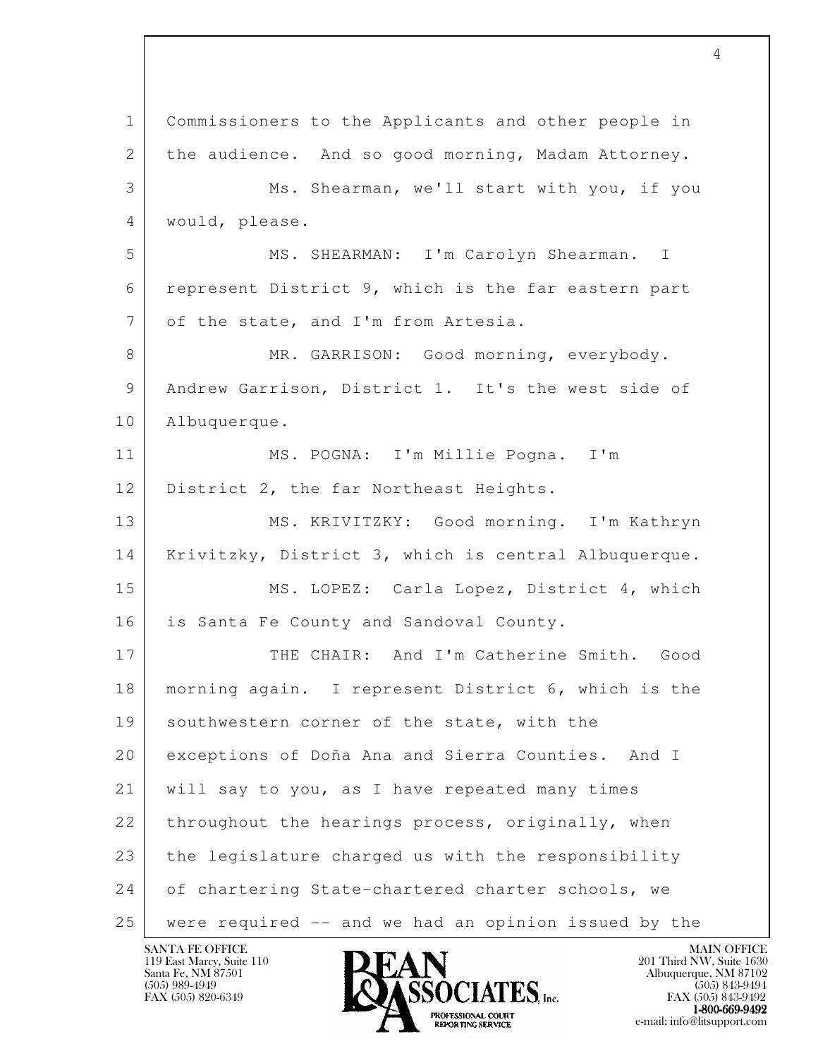l 1 Commissioners to the Applicants and other people in 2 the audience. And so good morning, Madam Attorney. 3 Ms. Shearman, we'll start with you, if you 4 would, please. 5 MS. SHEARMAN: I'm Carolyn Shearman. I 6 represent District 9, which is the far eastern part 7 of the state, and I'm from Artesia. 8 MR. GARRISON: Good morning, everybody. 9 Andrew Garrison, District 1. It's the west side of 10 Albuquerque. 11 MS. POGNA: I'm Millie Pogna. I'm 12 District 2, the far Northeast Heights. 13 MS. KRIVITZKY: Good morning. I'm Kathryn 14 Krivitzky, District 3, which is central Albuquerque. 15 MS. LOPEZ: Carla Lopez, District 4, which 16 is Santa Fe County and Sandoval County. 17 THE CHAIR: And I'm Catherine Smith. Good 18 morning again. I represent District 6, which is the 19 southwestern corner of the state, with the 20 exceptions of Doña Ana and Sierra Counties. And I 21 will say to you, as I have repeated many times 22 throughout the hearings process, originally, when 23 | the legislature charged us with the responsibility 24 of chartering State-chartered charter schools, we 25 were required -- and we had an opinion issued by the

119 East Marcy, Suite 110<br>Santa Fe, NM 87501

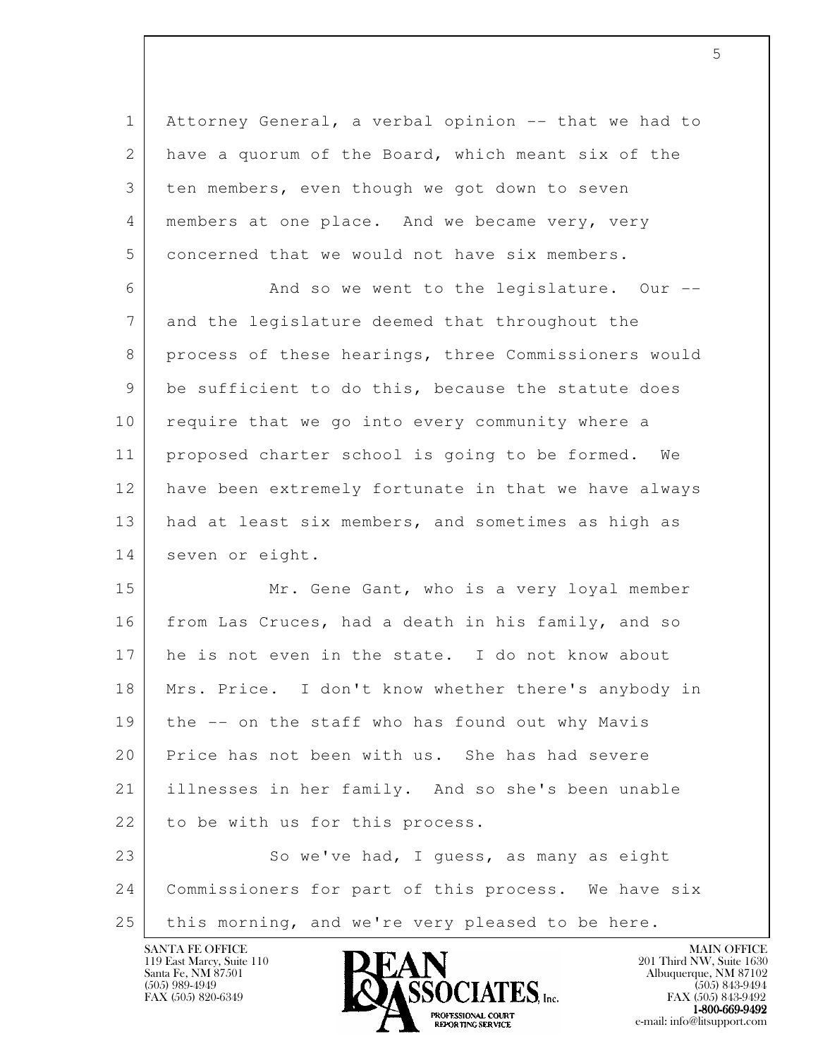l 1 Attorney General, a verbal opinion -- that we had to 2 have a quorum of the Board, which meant six of the 3 ten members, even though we got down to seven 4 members at one place. And we became very, very 5 concerned that we would not have six members. 6 And so we went to the legislature. Our -- 7 and the legislature deemed that throughout the 8 process of these hearings, three Commissioners would 9 be sufficient to do this, because the statute does 10 require that we go into every community where a 11 proposed charter school is going to be formed. We 12 have been extremely fortunate in that we have always 13 had at least six members, and sometimes as high as 14 seven or eight. 15 Mr. Gene Gant, who is a very loyal member 16 from Las Cruces, had a death in his family, and so 17 he is not even in the state. I do not know about 18 Mrs. Price. I don't know whether there's anybody in 19 the -- on the staff who has found out why Mavis 20 Price has not been with us. She has had severe 21 illnesses in her family. And so she's been unable 22 to be with us for this process. 23 So we've had, I quess, as many as eight 24 Commissioners for part of this process. We have six 25 this morning, and we're very pleased to be here.

119 East Marcy, Suite 110<br>Santa Fe, NM 87501



FAX (505) 843-9492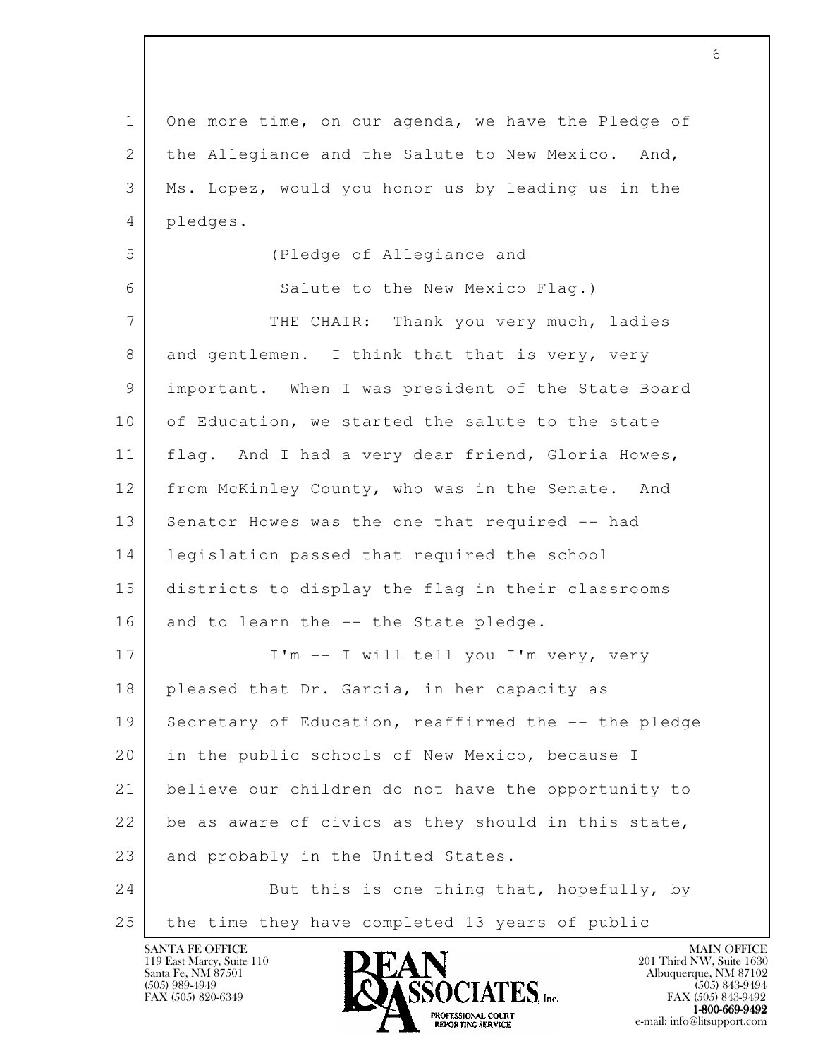l 1 One more time, on our agenda, we have the Pledge of 2 the Allegiance and the Salute to New Mexico. And, 3 Ms. Lopez, would you honor us by leading us in the 4 pledges. 5 (Pledge of Allegiance and 6 Salute to the New Mexico Flag.) 7 THE CHAIR: Thank you very much, ladies 8 and gentlemen. I think that that is very, very 9 important. When I was president of the State Board 10 of Education, we started the salute to the state 11 flag. And I had a very dear friend, Gloria Howes, 12 from McKinley County, who was in the Senate. And 13 Senator Howes was the one that required -- had 14 legislation passed that required the school 15 districts to display the flag in their classrooms 16 and to learn the -- the State pledge. 17 | I'm -- I will tell you I'm very, very 18 pleased that Dr. Garcia, in her capacity as 19 Secretary of Education, reaffirmed the -- the pledge 20 in the public schools of New Mexico, because I 21 believe our children do not have the opportunity to 22 be as aware of civics as they should in this state, 23 and probably in the United States. 24 But this is one thing that, hopefully, by 25 the time they have completed 13 years of public

119 East Marcy, Suite 110<br>Santa Fe, NM 87501

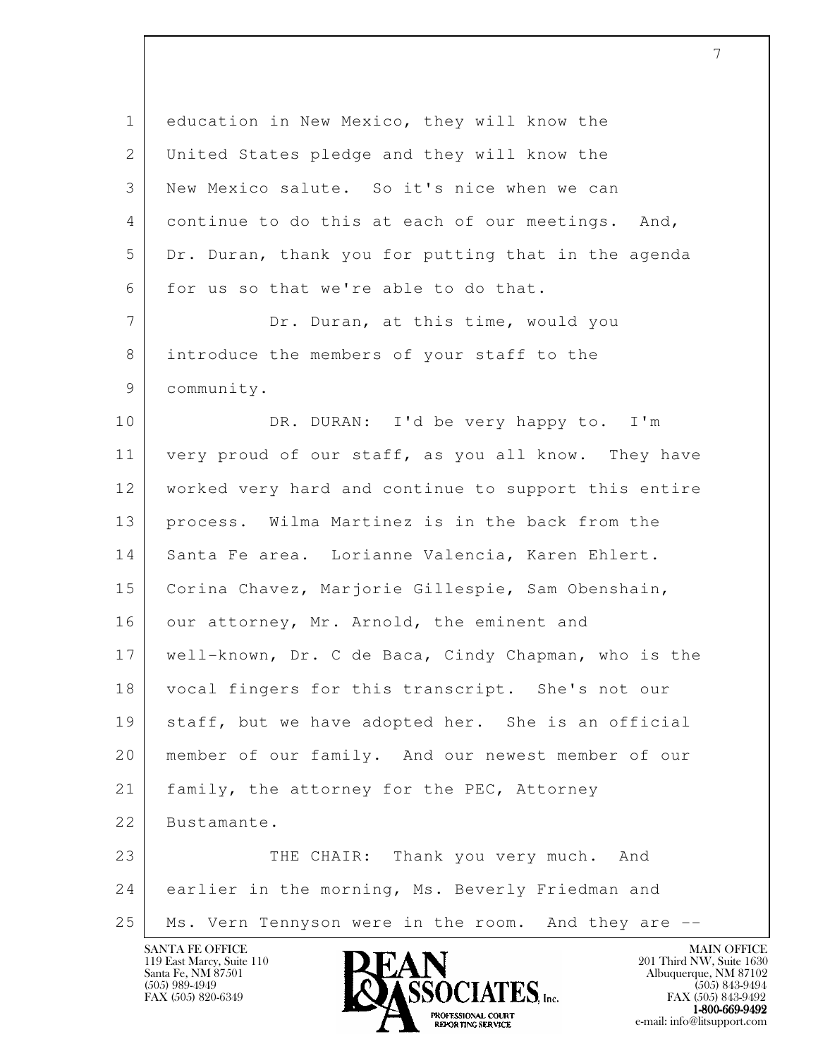| $\mathbf 1$     | education in New Mexico, they will know the          |
|-----------------|------------------------------------------------------|
| 2               | United States pledge and they will know the          |
| 3               | New Mexico salute. So it's nice when we can          |
| 4               | continue to do this at each of our meetings. And,    |
| 5               | Dr. Duran, thank you for putting that in the agenda  |
| 6               | for us so that we're able to do that.                |
| $7\overline{ }$ | Dr. Duran, at this time, would you                   |
| 8               | introduce the members of your staff to the           |
| 9               | community.                                           |
| 10              | DR. DURAN: I'd be very happy to. I'm                 |
| 11              | very proud of our staff, as you all know. They have  |
| 12              | worked very hard and continue to support this entire |
| 13              | process. Wilma Martinez is in the back from the      |
| 14              | Santa Fe area. Lorianne Valencia, Karen Ehlert.      |
| 15              | Corina Chavez, Marjorie Gillespie, Sam Obenshain,    |
| 16              | our attorney, Mr. Arnold, the eminent and            |
| 17              | well-known, Dr. C de Baca, Cindy Chapman, who is the |
| 18              | vocal fingers for this transcript. She's not our     |
| 19              | staff, but we have adopted her. She is an official   |
| 20              | member of our family. And our newest member of our   |
| 21              | family, the attorney for the PEC, Attorney           |
| 22              | Bustamante.                                          |
| 23              | Thank you very much. And<br>THE CHAIR:               |
| 24              | earlier in the morning, Ms. Beverly Friedman and     |
| 25              | Ms. Vern Tennyson were in the room. And they are --  |
|                 | <b>SANTA FE OFFICE</b><br><b>MAIN OFFICE</b>         |

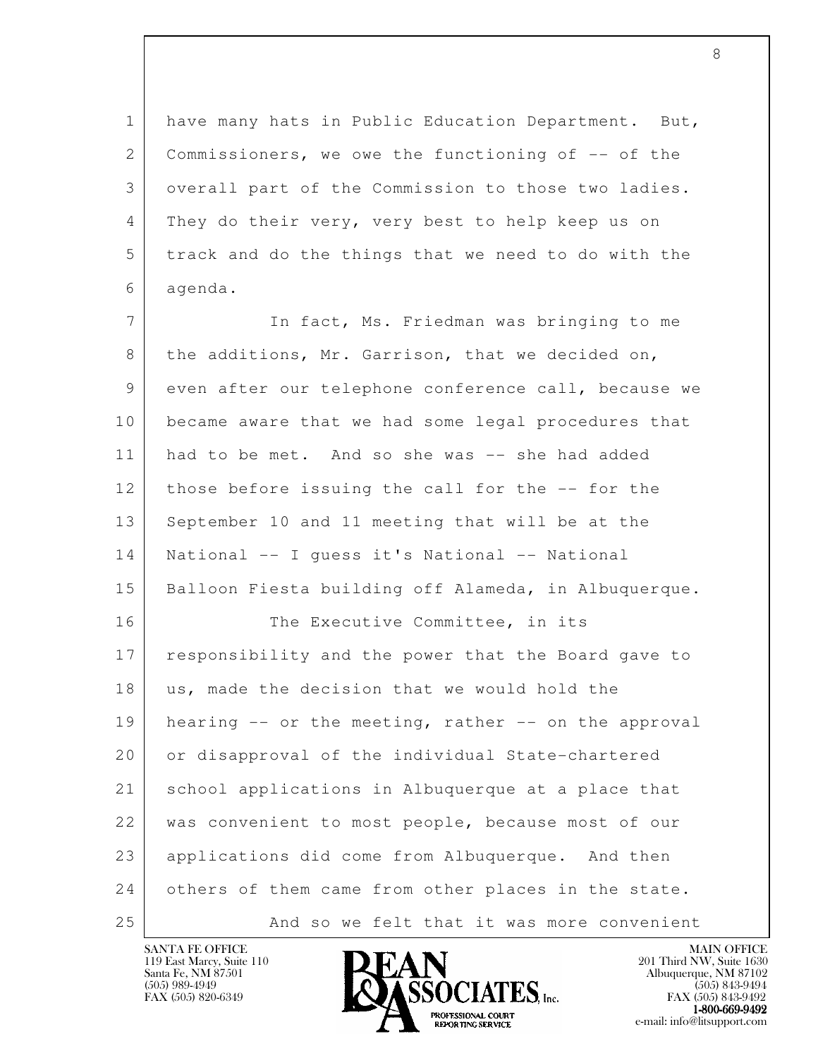1 have many hats in Public Education Department. But, 2 Commissioners, we owe the functioning of -- of the 3 overall part of the Commission to those two ladies. 4 They do their very, very best to help keep us on 5 track and do the things that we need to do with the 6 agenda.

l 7 In fact, Ms. Friedman was bringing to me 8 | the additions, Mr. Garrison, that we decided on, 9 even after our telephone conference call, because we 10 became aware that we had some legal procedures that 11 had to be met. And so she was -- she had added 12 those before issuing the call for the -- for the 13 September 10 and 11 meeting that will be at the 14 National -- I guess it's National -- National 15 Balloon Fiesta building off Alameda, in Albuquerque. 16 | The Executive Committee, in its 17 responsibility and the power that the Board gave to 18 us, made the decision that we would hold the  $19$  hearing  $-$  or the meeting, rather  $-$  on the approval 20 or disapproval of the individual State-chartered 21 school applications in Albuquerque at a place that 22 was convenient to most people, because most of our 23 applications did come from Albuquerque. And then 24 others of them came from other places in the state. 25 | And so we felt that it was more convenient

119 East Marcy, Suite 110<br>Santa Fe, NM 87501



FAX (505) 843-9492  $1-800-669-9492$ <br>PROFESSIONAL COURT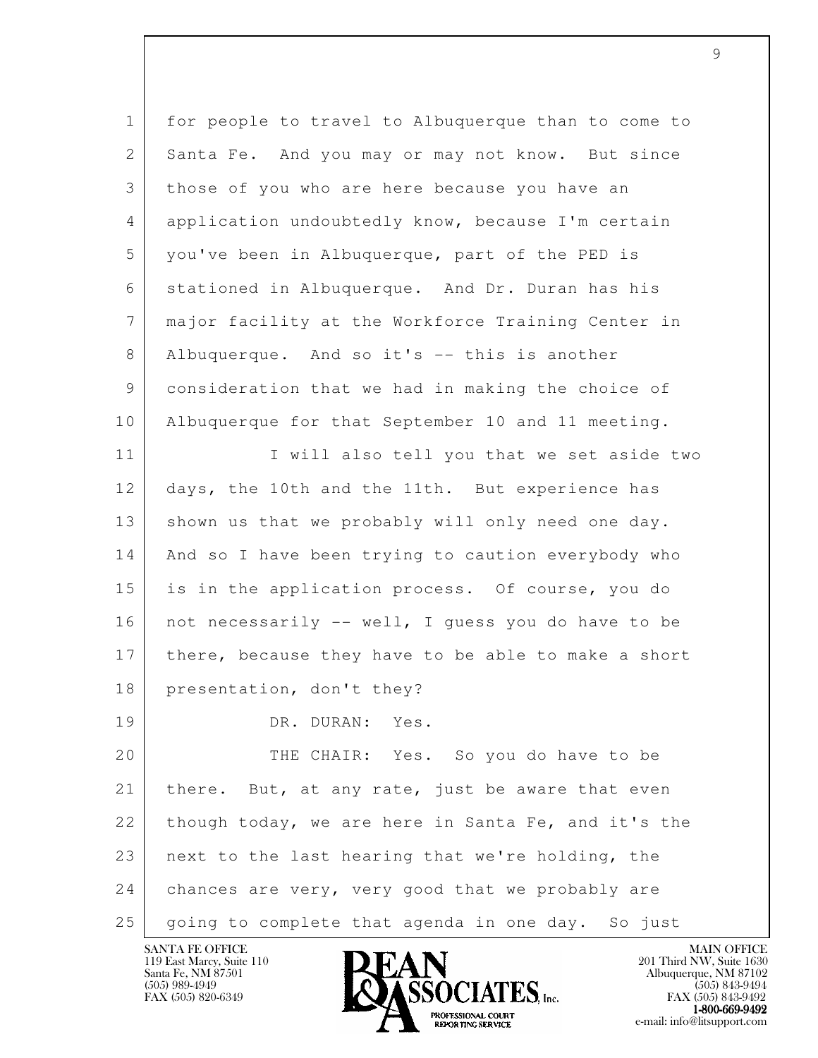| $\mathbf{1}$ | for people to travel to Albuquerque than to come to |
|--------------|-----------------------------------------------------|
| 2            | Santa Fe. And you may or may not know. But since    |
| 3            | those of you who are here because you have an       |
| 4            | application undoubtedly know, because I'm certain   |
| 5            | you've been in Albuquerque, part of the PED is      |
| 6            | stationed in Albuquerque. And Dr. Duran has his     |
| 7            | major facility at the Workforce Training Center in  |
| 8            | Albuquerque. And so it's -- this is another         |
| 9            | consideration that we had in making the choice of   |
| 10           | Albuquerque for that September 10 and 11 meeting.   |
| 11           | I will also tell you that we set aside two          |
| 12           | days, the 10th and the 11th. But experience has     |
| 13           | shown us that we probably will only need one day.   |
| 14           | And so I have been trying to caution everybody who  |
| 15           | is in the application process. Of course, you do    |
| 16           | not necessarily -- well, I guess you do have to be  |
| 17           | there, because they have to be able to make a short |
| 18           | presentation, don't they?                           |
| 19           | DR. DURAN:<br>Yes.                                  |
| 20           | THE CHAIR: Yes. So you do have to be                |
| 21           | there. But, at any rate, just be aware that even    |
| 22           | though today, we are here in Santa Fe, and it's the |
| 23           | next to the last hearing that we're holding, the    |
| 24           | chances are very, very good that we probably are    |
| 25           | going to complete that agenda in one day. So just   |

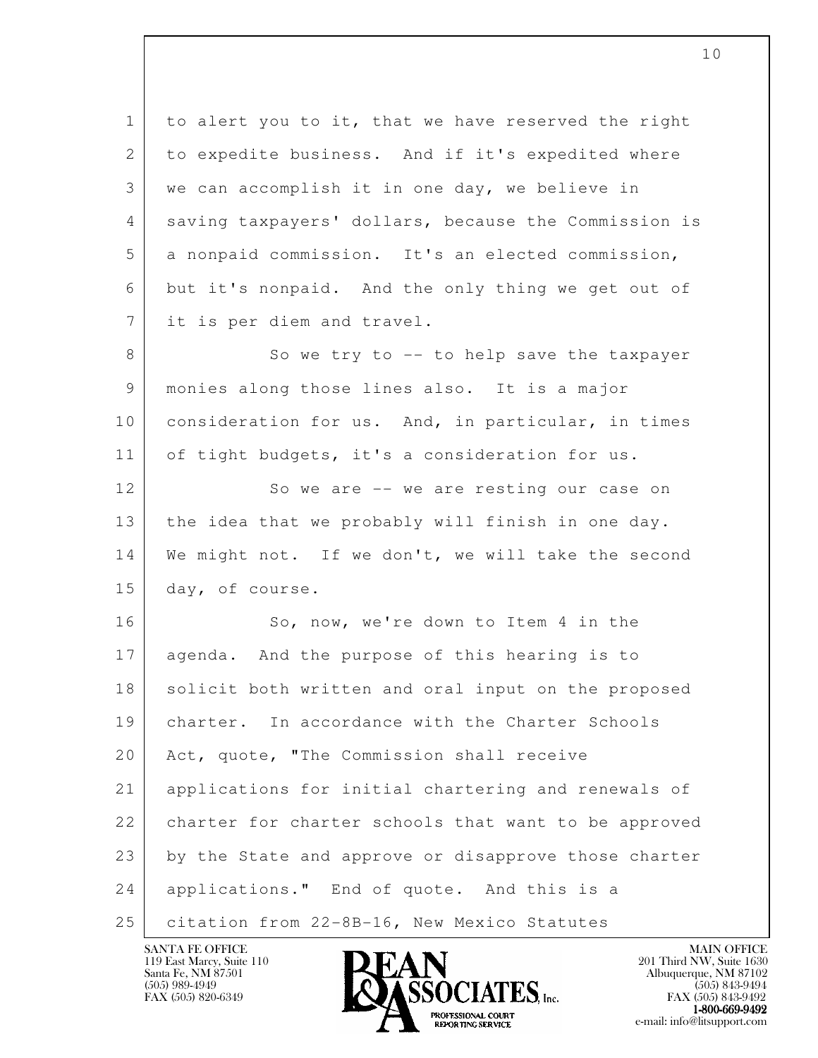l 1 to alert you to it, that we have reserved the right 2 to expedite business. And if it's expedited where 3 we can accomplish it in one day, we believe in 4 saving taxpayers' dollars, because the Commission is 5 a nonpaid commission. It's an elected commission, 6 but it's nonpaid. And the only thing we get out of 7 it is per diem and travel. 8 So we try to -- to help save the taxpayer 9 monies along those lines also. It is a major 10 consideration for us. And, in particular, in times 11 of tight budgets, it's a consideration for us. 12 So we are -- we are resting our case on 13 the idea that we probably will finish in one day. 14 We might not. If we don't, we will take the second 15 day, of course. 16 So, now, we're down to Item 4 in the 17 agenda. And the purpose of this hearing is to 18 solicit both written and oral input on the proposed 19 charter. In accordance with the Charter Schools 20 Act, quote, "The Commission shall receive 21 applications for initial chartering and renewals of 22 charter for charter schools that want to be approved 23 by the State and approve or disapprove those charter 24 applications." End of quote. And this is a 25 | citation from 22-8B-16, New Mexico Statutes

119 East Marcy, Suite 110<br>Santa Fe, NM 87501

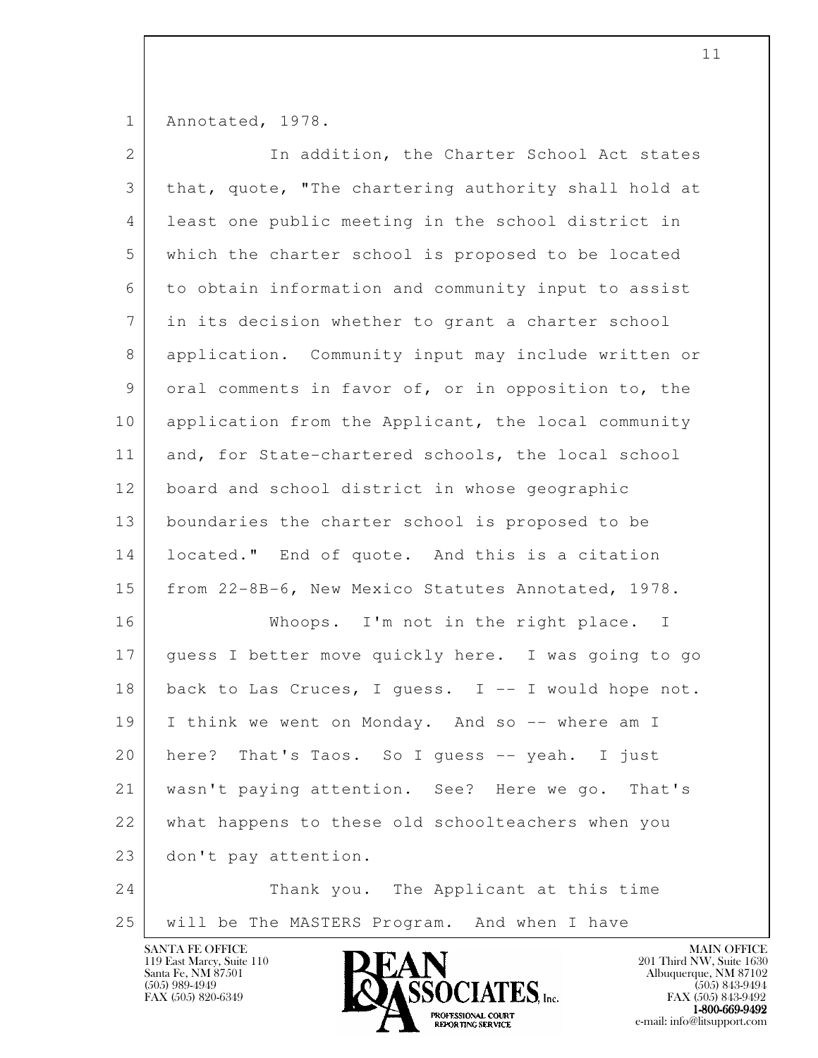1 Annotated, 1978.

| $\mathbf{2}$ | In addition, the Charter School Act states           |
|--------------|------------------------------------------------------|
| 3            | that, quote, "The chartering authority shall hold at |
| 4            | least one public meeting in the school district in   |
| 5            | which the charter school is proposed to be located   |
| 6            | to obtain information and community input to assist  |
| 7            | in its decision whether to grant a charter school    |
| 8            | application. Community input may include written or  |
| 9            | oral comments in favor of, or in opposition to, the  |
| 10           | application from the Applicant, the local community  |
| 11           | and, for State-chartered schools, the local school   |
| 12           | board and school district in whose geographic        |
| 13           | boundaries the charter school is proposed to be      |
| 14           | located." End of quote. And this is a citation       |
| 15           | from 22-8B-6, New Mexico Statutes Annotated, 1978.   |
| 16           | Whoops. I'm not in the right place. I                |
| 17           | guess I better move quickly here. I was going to go  |
| 18           | back to Las Cruces, I guess. I -- I would hope not.  |
| 19           | I think we went on Monday. And so -- where am I      |
| 20           | That's Taos. So I quess -- yeah. I just<br>here?     |
| 21           | wasn't paying attention. See? Here we go.<br>That's  |
| 22           | what happens to these old schoolteachers when you    |
| 23           | don't pay attention.                                 |
| 24           | Thank you. The Applicant at this time                |
| 25           | will be The MASTERS Program. And when I have         |

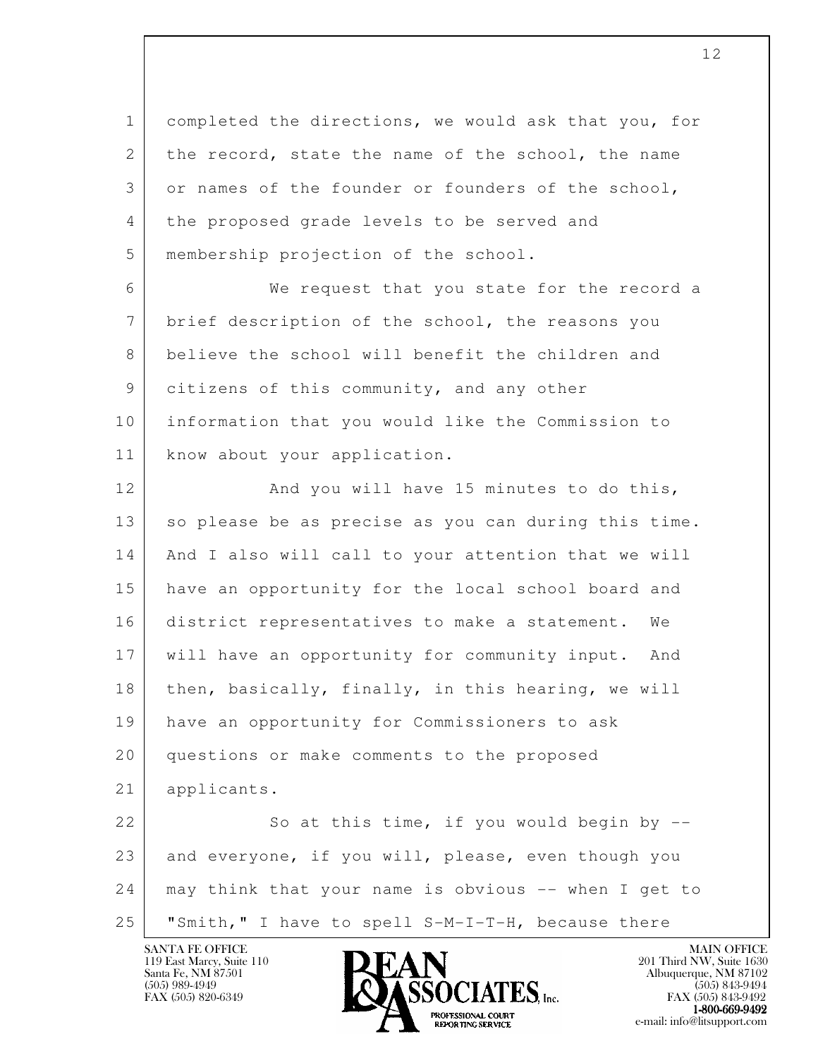l 1 completed the directions, we would ask that you, for 2 the record, state the name of the school, the name 3 or names of the founder or founders of the school, 4 the proposed grade levels to be served and 5 membership projection of the school. 6 We request that you state for the record a 7 brief description of the school, the reasons you 8 believe the school will benefit the children and 9 citizens of this community, and any other 10 information that you would like the Commission to 11 | know about your application. 12 And you will have 15 minutes to do this, 13 so please be as precise as you can during this time. 14 And I also will call to your attention that we will 15 have an opportunity for the local school board and 16 district representatives to make a statement. We 17 will have an opportunity for community input. And 18 then, basically, finally, in this hearing, we will 19 have an opportunity for Commissioners to ask 20 questions or make comments to the proposed 21 applicants. 22 So at this time, if you would begin by -- 23 and everyone, if you will, please, even though you 24 may think that your name is obvious -- when I get to 25 "Smith," I have to spell S-M-I-T-H, because there

119 East Marcy, Suite 110<br>Santa Fe, NM 87501

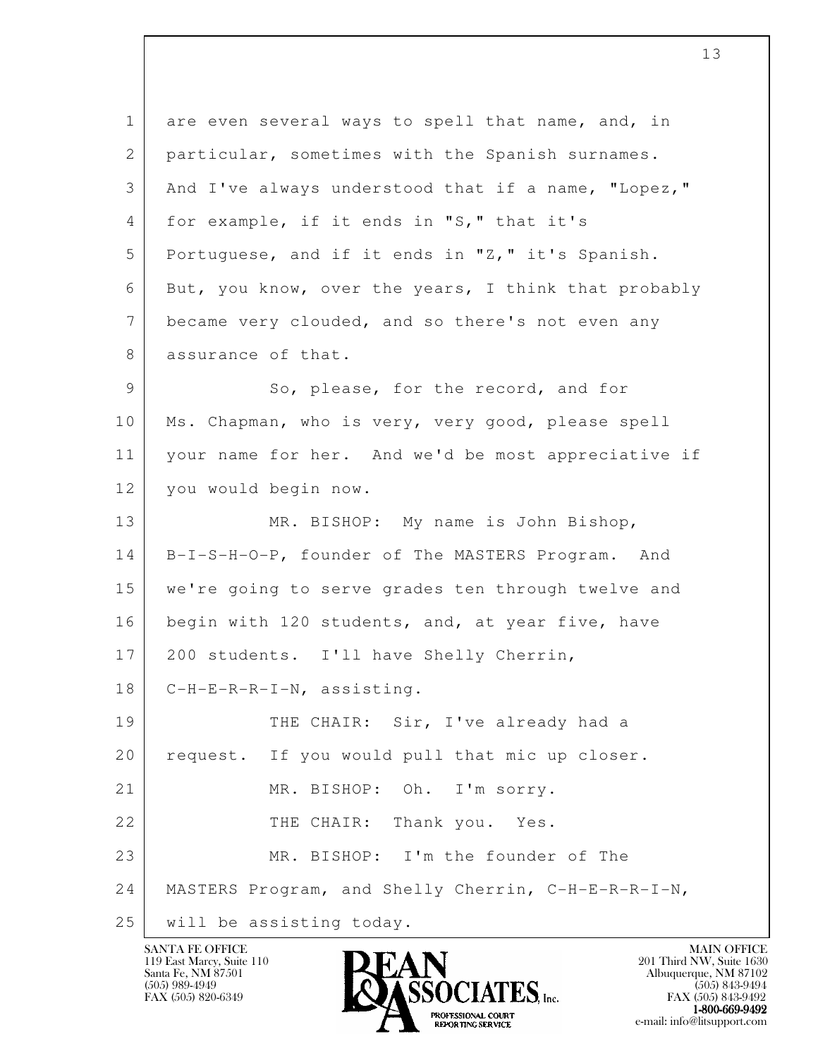l 1 are even several ways to spell that name, and, in 2 | particular, sometimes with the Spanish surnames. 3 And I've always understood that if a name, "Lopez," 4 for example, if it ends in "S," that it's 5 Portuguese, and if it ends in "Z," it's Spanish. 6 But, you know, over the years, I think that probably 7 became very clouded, and so there's not even any 8 assurance of that. 9 So, please, for the record, and for 10 | Ms. Chapman, who is very, very good, please spell 11 your name for her. And we'd be most appreciative if 12 | you would begin now. 13 MR. BISHOP: My name is John Bishop, 14 B-I-S-H-O-P, founder of The MASTERS Program. And 15 we're going to serve grades ten through twelve and 16 begin with 120 students, and, at year five, have 17 200 students. I'll have Shelly Cherrin, 18 C-H-E-R-R-I-N, assisting. 19 THE CHAIR: Sir, I've already had a 20 request. If you would pull that mic up closer. 21 MR. BISHOP: Oh. I'm sorry. 22 | THE CHAIR: Thank you. Yes. 23 MR. BISHOP: I'm the founder of The 24 MASTERS Program, and Shelly Cherrin, C-H-E-R-R-I-N, 25 will be assisting today.

119 East Marcy, Suite 110<br>Santa Fe, NM 87501

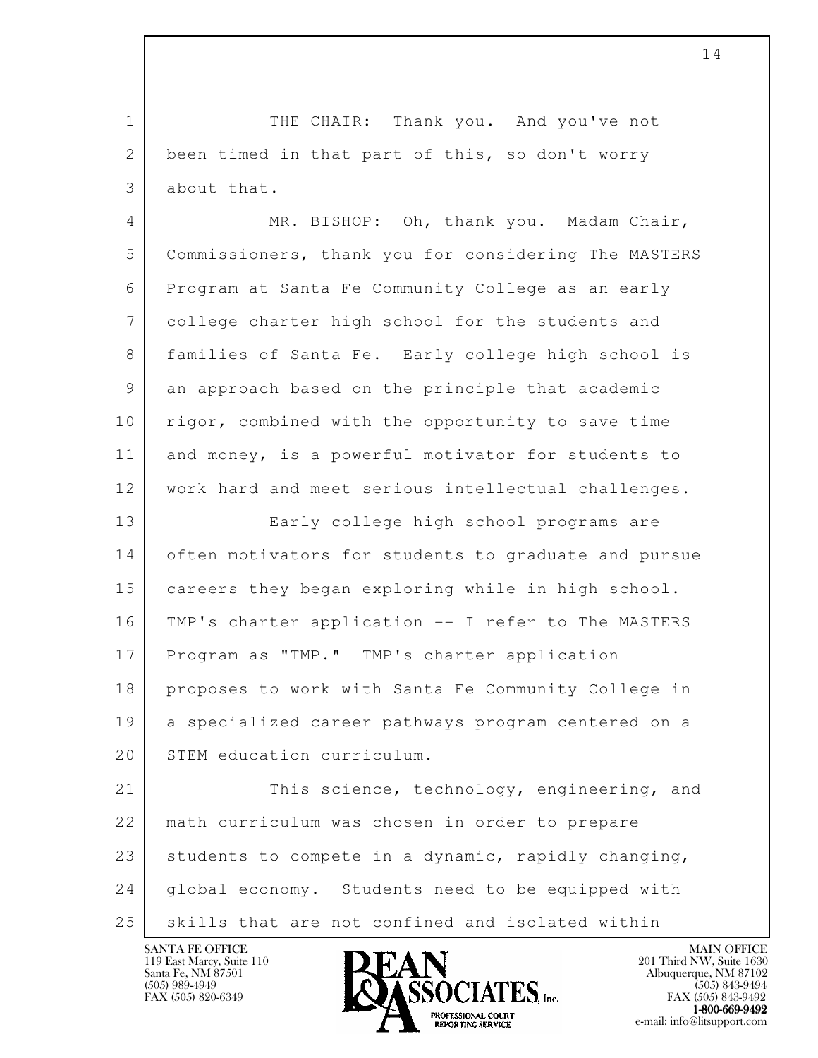1 THE CHAIR: Thank you. And you've not 2 been timed in that part of this, so don't worry 3 about that. 4 MR. BISHOP: Oh, thank you. Madam Chair, 5 Commissioners, thank you for considering The MASTERS 6 Program at Santa Fe Community College as an early 7 college charter high school for the students and

 8 families of Santa Fe. Early college high school is 9 an approach based on the principle that academic 10 | rigor, combined with the opportunity to save time 11 and money, is a powerful motivator for students to 12 work hard and meet serious intellectual challenges.

 13 Early college high school programs are 14 often motivators for students to graduate and pursue 15 careers they began exploring while in high school. 16 TMP's charter application -- I refer to The MASTERS 17 Program as "TMP." TMP's charter application 18 proposes to work with Santa Fe Community College in 19 a specialized career pathways program centered on a 20 STEM education curriculum.

l 21 This science, technology, engineering, and 22 math curriculum was chosen in order to prepare 23 | students to compete in a dynamic, rapidly changing, 24 | global economy. Students need to be equipped with 25 skills that are not confined and isolated within

119 East Marcy, Suite 110<br>Santa Fe, NM 87501

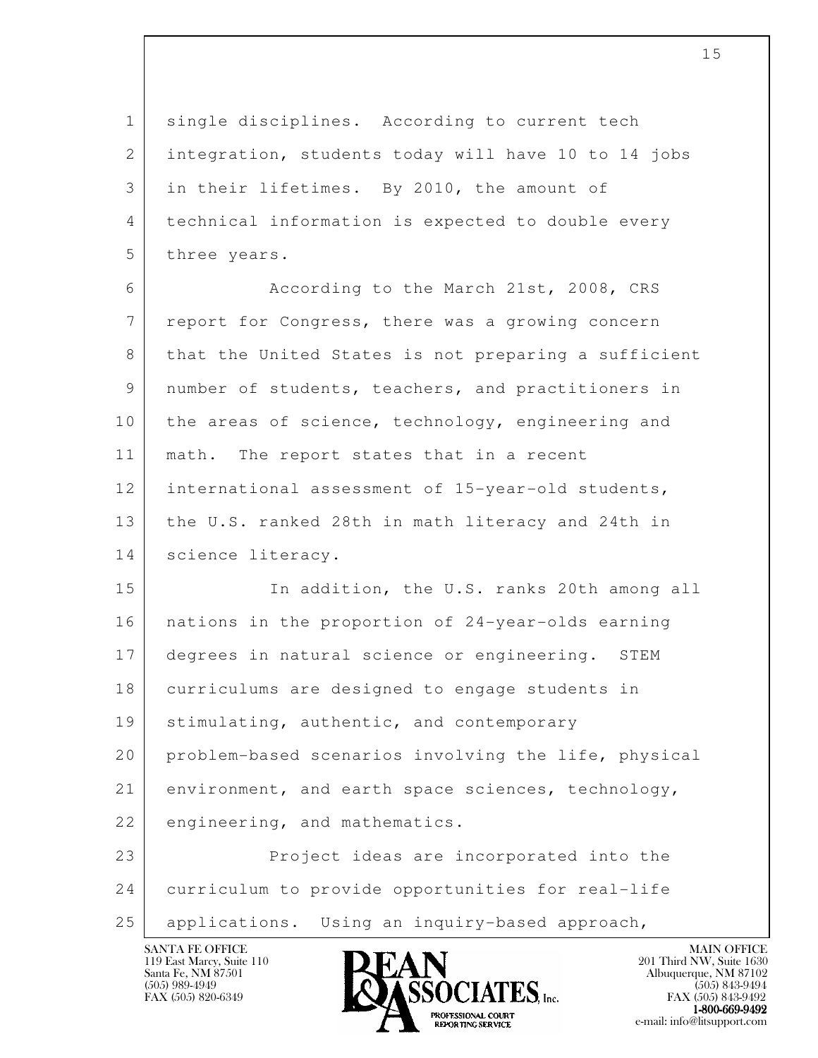1 single disciplines. According to current tech 2 integration, students today will have 10 to 14 jobs 3 in their lifetimes. By 2010, the amount of 4 technical information is expected to double every 5 three years.

 6 According to the March 21st, 2008, CRS 7 report for Congress, there was a growing concern 8 that the United States is not preparing a sufficient 9 number of students, teachers, and practitioners in 10 the areas of science, technology, engineering and 11 | math. The report states that in a recent 12 international assessment of 15-year-old students, 13 the U.S. ranked 28th in math literacy and 24th in 14 | science literacy.

15 In addition, the U.S. ranks 20th among all 16 nations in the proportion of 24-year-olds earning 17 degrees in natural science or engineering. STEM 18 curriculums are designed to engage students in 19 | stimulating, authentic, and contemporary 20 problem-based scenarios involving the life, physical 21 environment, and earth space sciences, technology, 22 engineering, and mathematics.

l 23 Project ideas are incorporated into the 24 curriculum to provide opportunities for real-life 25 applications. Using an inquiry-based approach,

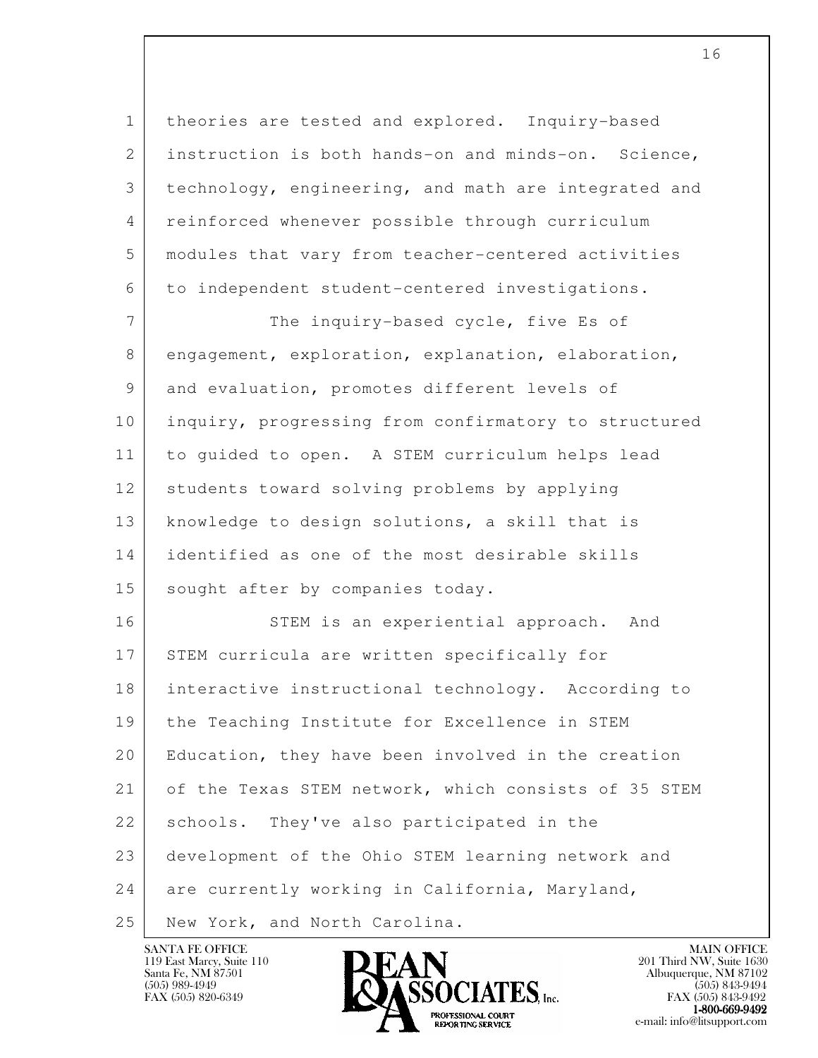1 theories are tested and explored. Inquiry-based 2 instruction is both hands-on and minds-on. Science, 3 technology, engineering, and math are integrated and 4 reinforced whenever possible through curriculum 5 modules that vary from teacher-centered activities 6 to independent student-centered investigations.

7 The inquiry-based cycle, five Es of 8 engagement, exploration, explanation, elaboration, 9 and evaluation, promotes different levels of 10 inquiry, progressing from confirmatory to structured 11 to guided to open. A STEM curriculum helps lead 12 students toward solving problems by applying 13 knowledge to design solutions, a skill that is 14 identified as one of the most desirable skills 15 sought after by companies today.

l 16 STEM is an experiential approach. And 17 STEM curricula are written specifically for 18 interactive instructional technology. According to 19 the Teaching Institute for Excellence in STEM 20 Education, they have been involved in the creation 21 of the Texas STEM network, which consists of 35 STEM 22 | schools. They've also participated in the 23 development of the Ohio STEM learning network and 24 are currently working in California, Maryland, 25 New York, and North Carolina.



FAX (505) 843-9492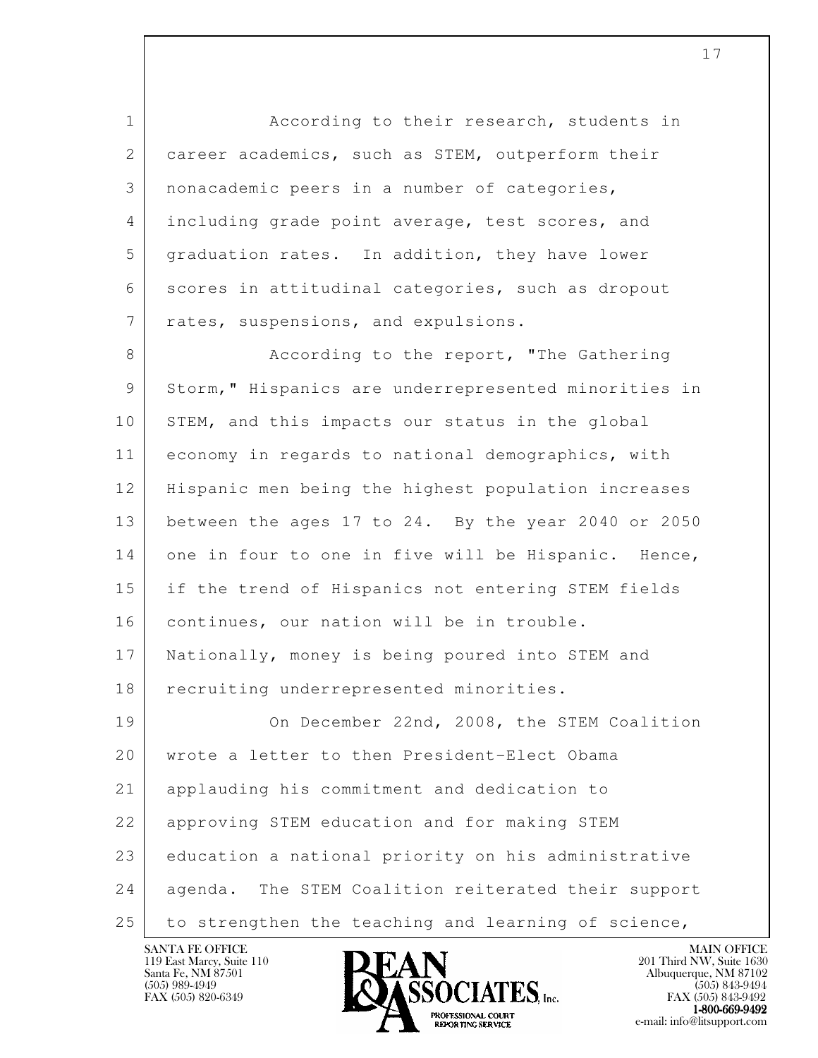l 1 **According to their research, students in** 2 career academics, such as STEM, outperform their 3 nonacademic peers in a number of categories, 4 including grade point average, test scores, and 5 graduation rates. In addition, they have lower 6 scores in attitudinal categories, such as dropout 7 | rates, suspensions, and expulsions. 8 According to the report, "The Gathering 9 Storm," Hispanics are underrepresented minorities in 10 STEM, and this impacts our status in the global 11 economy in regards to national demographics, with 12 Hispanic men being the highest population increases 13 between the ages 17 to 24. By the year 2040 or 2050 14 one in four to one in five will be Hispanic. Hence, 15 if the trend of Hispanics not entering STEM fields 16 continues, our nation will be in trouble. 17 Nationally, money is being poured into STEM and 18 recruiting underrepresented minorities. 19 On December 22nd, 2008, the STEM Coalition 20 wrote a letter to then President-Elect Obama 21 applauding his commitment and dedication to 22 approving STEM education and for making STEM 23 education a national priority on his administrative 24 agenda. The STEM Coalition reiterated their support 25 to strengthen the teaching and learning of science,

119 East Marcy, Suite 110<br>Santa Fe, NM 87501

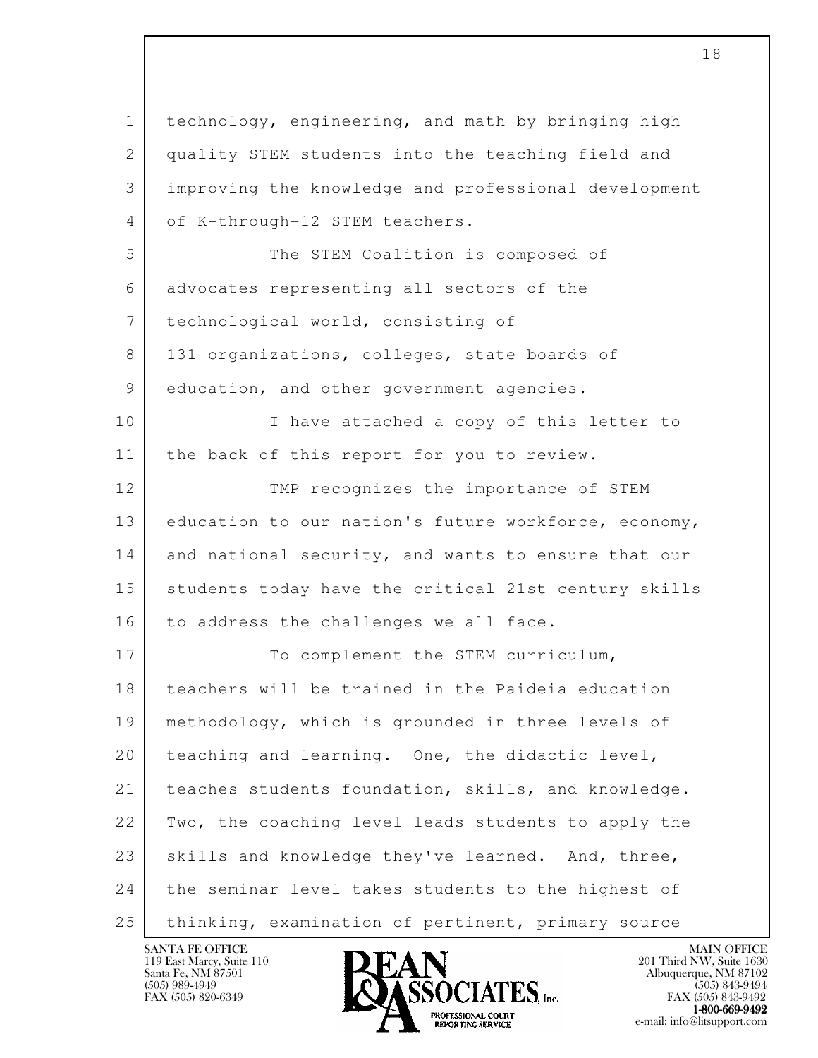l 1 technology, engineering, and math by bringing high 2 quality STEM students into the teaching field and 3 improving the knowledge and professional development 4 of K-through-12 STEM teachers. 5 The STEM Coalition is composed of 6 advocates representing all sectors of the 7 technological world, consisting of 8 131 organizations, colleges, state boards of 9 education, and other government agencies. 10 | I have attached a copy of this letter to 11 | the back of this report for you to review. 12 TMP recognizes the importance of STEM 13 education to our nation's future workforce, economy, 14 and national security, and wants to ensure that our 15 students today have the critical 21st century skills 16 | to address the challenges we all face. 17 To complement the STEM curriculum, 18 teachers will be trained in the Paideia education 19 methodology, which is grounded in three levels of 20 teaching and learning. One, the didactic level, 21 | teaches students foundation, skills, and knowledge. 22 Two, the coaching level leads students to apply the 23 skills and knowledge they've learned. And, three, 24 the seminar level takes students to the highest of 25 thinking, examination of pertinent, primary source

119 East Marcy, Suite 110<br>Santa Fe, NM 87501

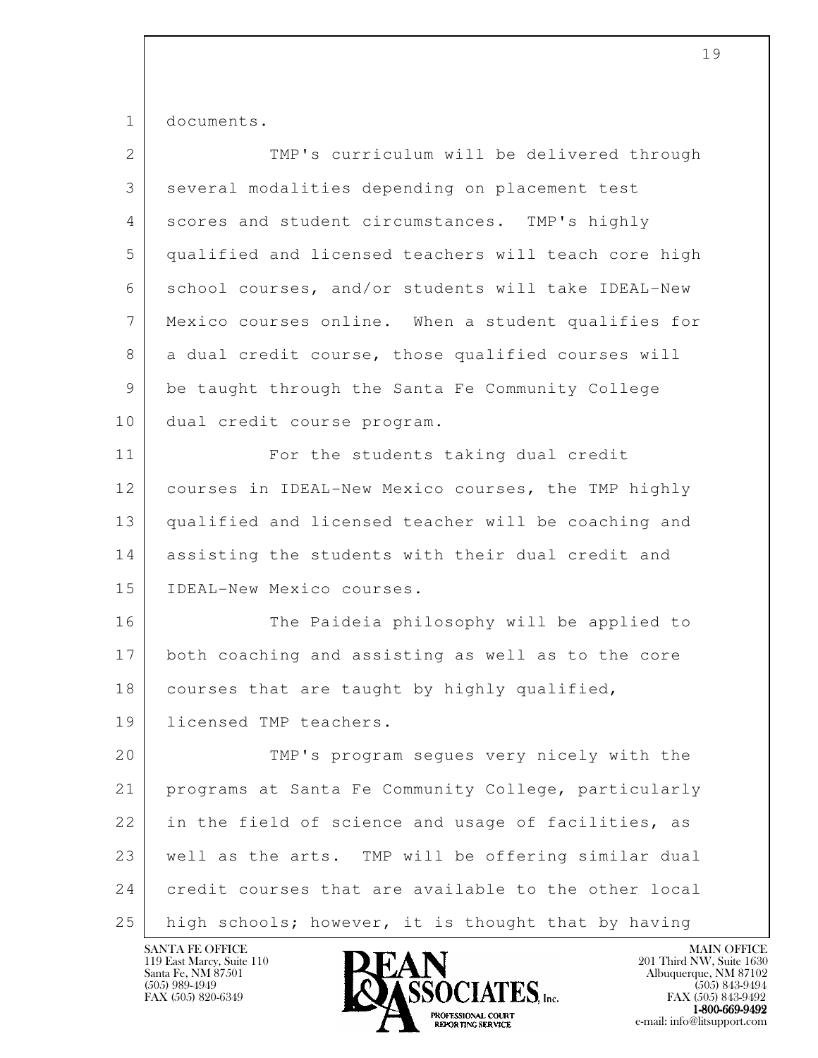1 documents.

| $\overline{2}$  | TMP's curriculum will be delivered through           |
|-----------------|------------------------------------------------------|
| 3               | several modalities depending on placement test       |
| 4               | scores and student circumstances. TMP's highly       |
| 5               | qualified and licensed teachers will teach core high |
| 6               | school courses, and/or students will take IDEAL-New  |
| $7\phantom{.0}$ | Mexico courses online. When a student qualifies for  |
| 8               | a dual credit course, those qualified courses will   |
| 9               | be taught through the Santa Fe Community College     |
| 10              | dual credit course program.                          |
| 11              | For the students taking dual credit                  |
| 12              | courses in IDEAL-New Mexico courses, the TMP highly  |
| 13              | qualified and licensed teacher will be coaching and  |
| 14              | assisting the students with their dual credit and    |
| 15              | IDEAL-New Mexico courses.                            |
| 16              | The Paideia philosophy will be applied to            |
| 17              | both coaching and assisting as well as to the core   |
| 18              | courses that are taught by highly qualified,         |
| 19              | licensed TMP teachers.                               |
| 20              | TMP's program segues very nicely with the            |
| 21              | programs at Santa Fe Community College, particularly |
| 22              | in the field of science and usage of facilities, as  |
| 23              | well as the arts. TMP will be offering similar dual  |
| 24              | credit courses that are available to the other local |
| 25              | high schools; however, it is thought that by having  |

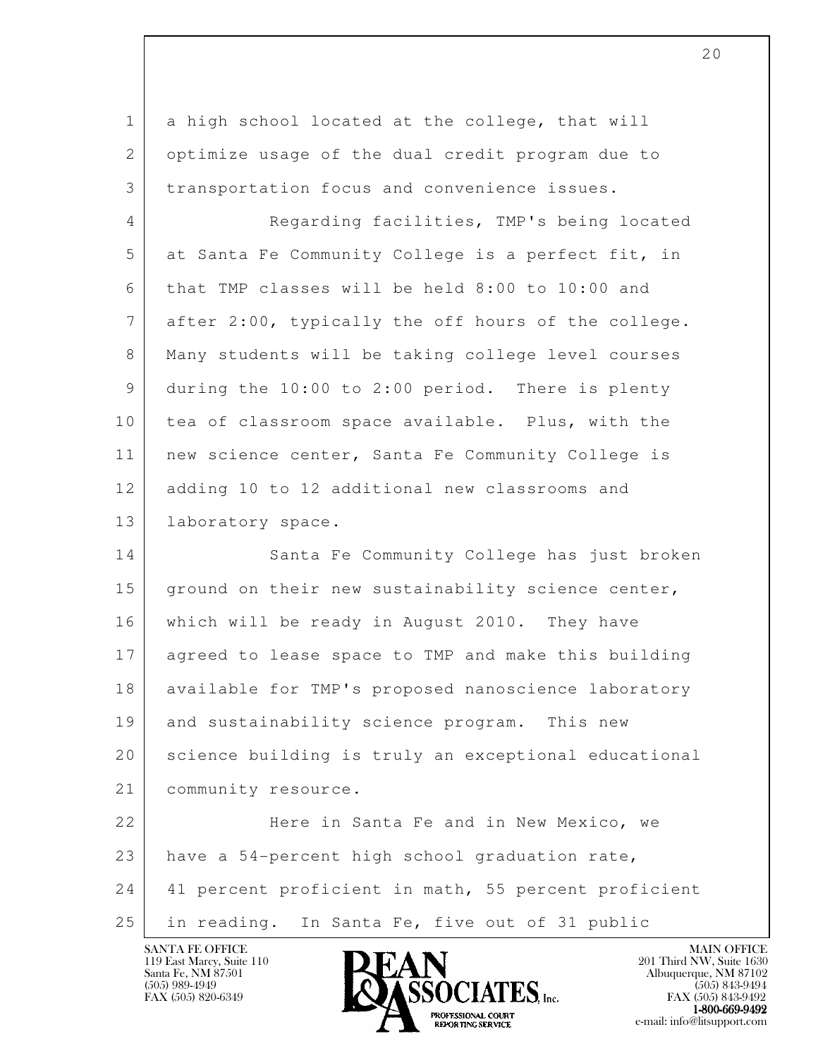| $\mathbf{1}$ | a high school located at the college, that will      |
|--------------|------------------------------------------------------|
| $\mathbf{2}$ | optimize usage of the dual credit program due to     |
| 3            | transportation focus and convenience issues.         |
| 4            | Regarding facilities, TMP's being located            |
| 5            | at Santa Fe Community College is a perfect fit, in   |
| 6            | that TMP classes will be held 8:00 to 10:00 and      |
| 7            | after 2:00, typically the off hours of the college.  |
| 8            | Many students will be taking college level courses   |
| 9            | during the 10:00 to 2:00 period. There is plenty     |
| 10           | tea of classroom space available. Plus, with the     |
| 11           | new science center, Santa Fe Community College is    |
| 12           | adding 10 to 12 additional new classrooms and        |
| 13           | laboratory space.                                    |
| 14           | Santa Fe Community College has just broken           |
| 15           | ground on their new sustainability science center,   |
| 16           | which will be ready in August 2010. They have        |
| 17           | agreed to lease space to TMP and make this building  |
| 18           | available for TMP's proposed nanoscience laboratory  |
| 19           | and sustainability science program. This new         |
| 20           | science building is truly an exceptional educational |
| 21           | community resource.                                  |
| 22           | Here in Santa Fe and in New Mexico, we               |
| 23           | have a 54-percent high school graduation rate,       |
| 24           | 41 percent proficient in math, 55 percent proficient |
| 25           | in reading. In Santa Fe, five out of 31 public       |

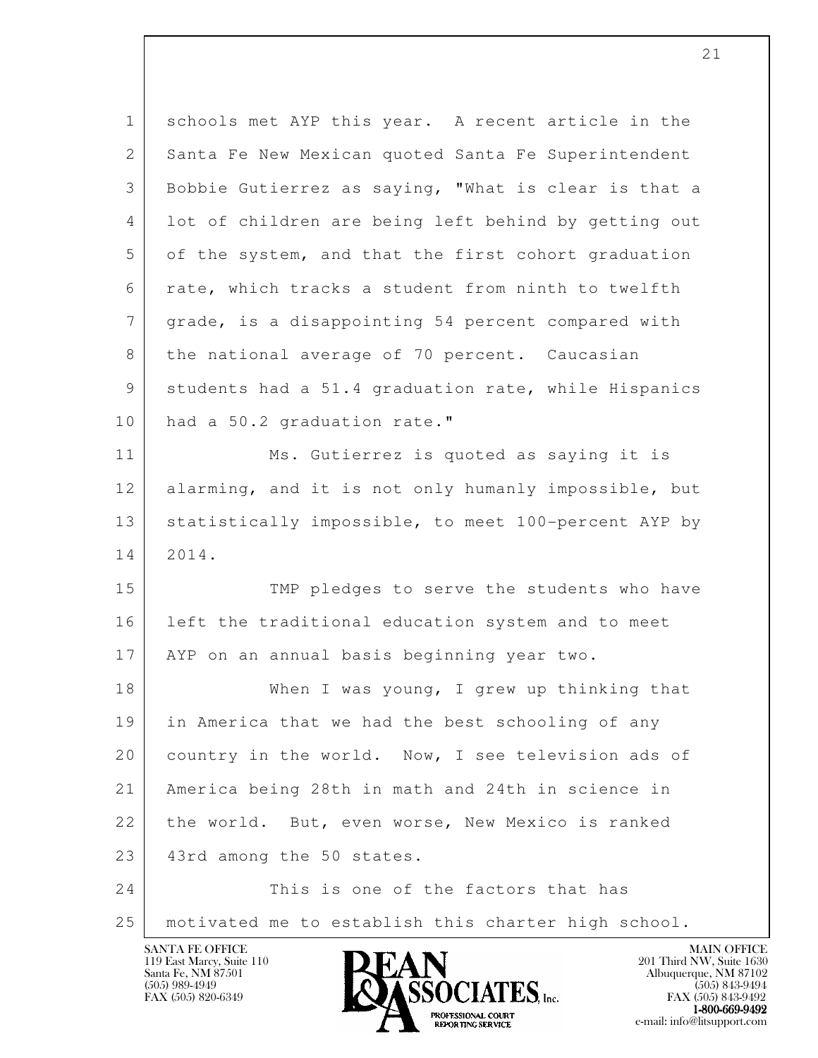| $\mathbf{1}$    | schools met AYP this year. A recent article in the   |
|-----------------|------------------------------------------------------|
| 2               | Santa Fe New Mexican quoted Santa Fe Superintendent  |
| 3               | Bobbie Gutierrez as saying, "What is clear is that a |
| 4               | lot of children are being left behind by getting out |
| 5               | of the system, and that the first cohort graduation  |
| 6               | rate, which tracks a student from ninth to twelfth   |
| $7\phantom{.0}$ | grade, is a disappointing 54 percent compared with   |
| 8               | the national average of 70 percent. Caucasian        |
| 9               | students had a 51.4 graduation rate, while Hispanics |
| 10              | had a 50.2 graduation rate."                         |
| 11              | Ms. Gutierrez is quoted as saying it is              |
| 12              | alarming, and it is not only humanly impossible, but |
| 13              | statistically impossible, to meet 100-percent AYP by |
| 14              | 2014.                                                |
| 15              | TMP pledges to serve the students who have           |
| 16              | left the traditional education system and to meet    |
| 17              | AYP on an annual basis beginning year two.           |
| 18              | When I was young, I grew up thinking that            |
| 19              | in America that we had the best schooling of any     |
| 20              | country in the world. Now, I see television ads of   |
| 21              | America being 28th in math and 24th in science in    |
| 22              | the world. But, even worse, New Mexico is ranked     |
| 23              | 43rd among the 50 states.                            |
| 24              | This is one of the factors that has                  |
| 25              | motivated me to establish this charter high school.  |

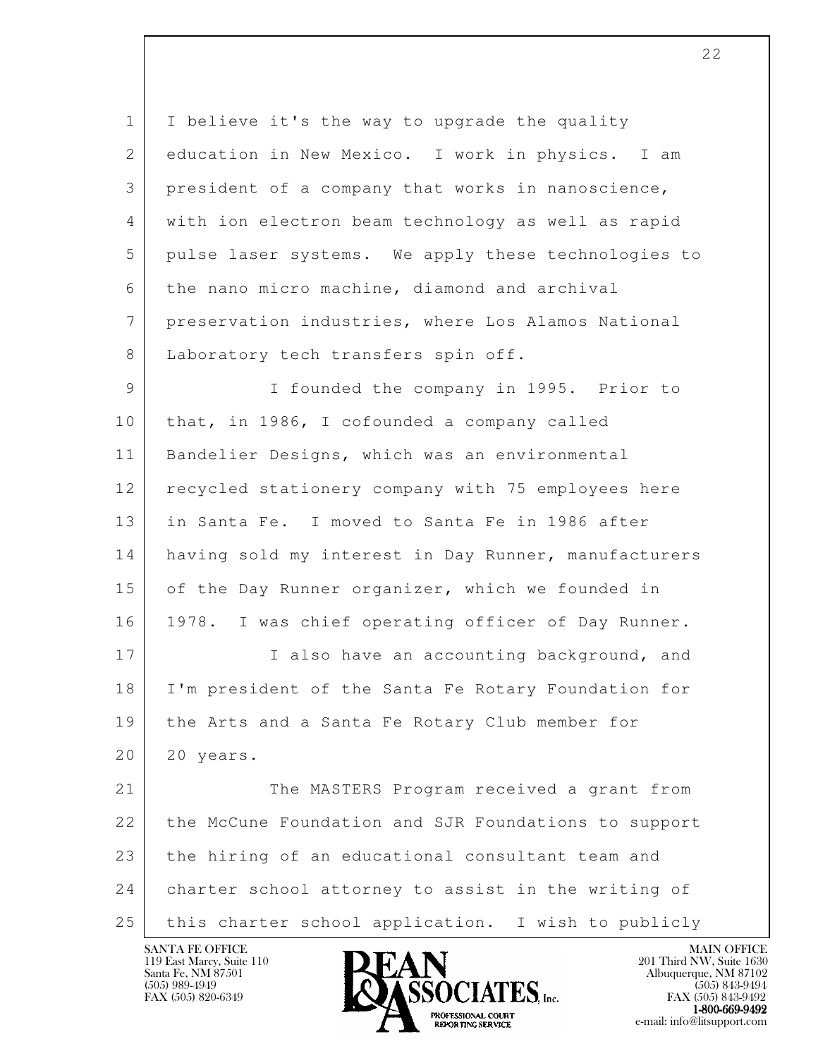1 I believe it's the way to upgrade the quality 2 education in New Mexico. I work in physics. I am 3 president of a company that works in nanoscience, 4 with ion electron beam technology as well as rapid 5 pulse laser systems. We apply these technologies to 6 the nano micro machine, diamond and archival 7 preservation industries, where Los Alamos National 8 Laboratory tech transfers spin off.

 9 I founded the company in 1995. Prior to 10 that, in 1986, I cofounded a company called 11 Bandelier Designs, which was an environmental 12 recycled stationery company with 75 employees here 13 in Santa Fe. I moved to Santa Fe in 1986 after 14 having sold my interest in Day Runner, manufacturers 15 of the Day Runner organizer, which we founded in 16 1978. I was chief operating officer of Day Runner. 17 I also have an accounting background, and 18 I'm president of the Santa Fe Rotary Foundation for 19 the Arts and a Santa Fe Rotary Club member for 20 20 years. 21 The MASTERS Program received a grant from 22 the McCune Foundation and SJR Foundations to support

l 23 the hiring of an educational consultant team and 24 charter school attorney to assist in the writing of 25 this charter school application. I wish to publicly

119 East Marcy, Suite 110<br>Santa Fe, NM 87501

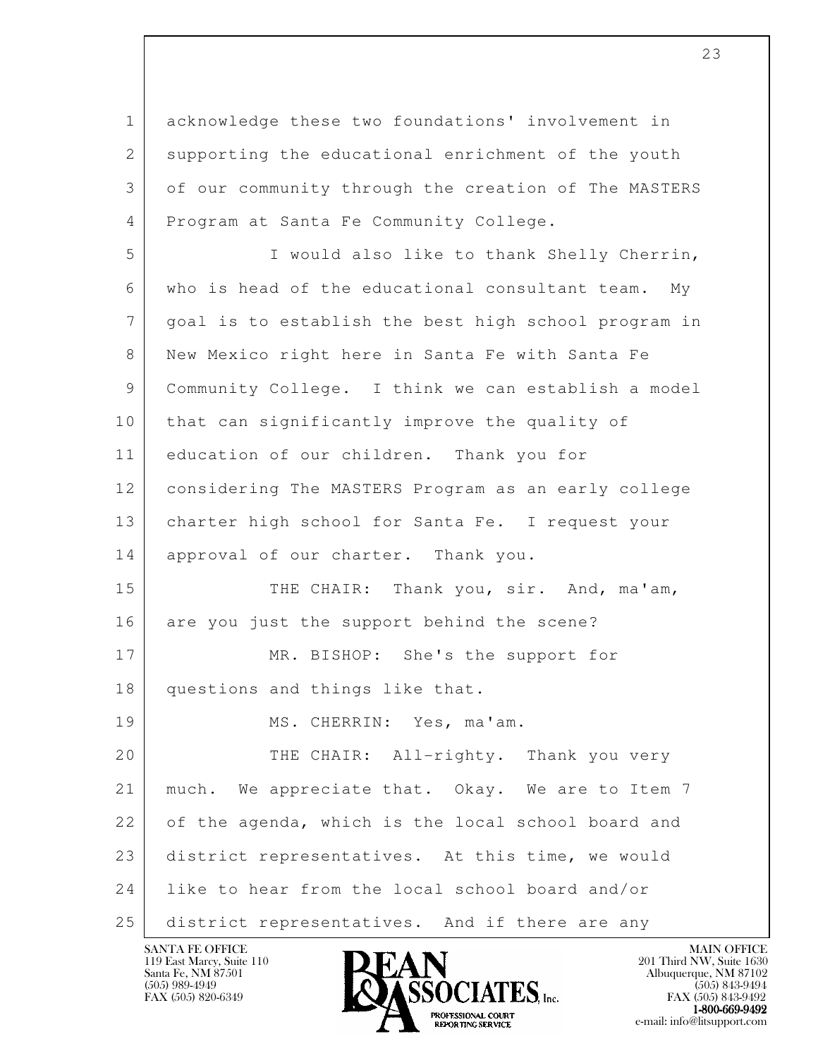l 1 acknowledge these two foundations' involvement in 2 supporting the educational enrichment of the youth 3 of our community through the creation of The MASTERS 4 Program at Santa Fe Community College. 5 I would also like to thank Shelly Cherrin, 6 who is head of the educational consultant team. My 7 goal is to establish the best high school program in 8 New Mexico right here in Santa Fe with Santa Fe 9 Community College. I think we can establish a model 10 that can significantly improve the quality of 11 education of our children. Thank you for 12 considering The MASTERS Program as an early college 13 charter high school for Santa Fe. I request your 14 approval of our charter. Thank you. 15 THE CHAIR: Thank you, sir. And, ma'am, 16 are you just the support behind the scene? 17 MR. BISHOP: She's the support for 18 questions and things like that. 19 MS. CHERRIN: Yes, ma'am. 20 THE CHAIR: All-righty. Thank you very 21 | much. We appreciate that. Okay. We are to Item 7 22 of the agenda, which is the local school board and 23 district representatives. At this time, we would

25 district representatives. And if there are any

24 like to hear from the local school board and/or

119 East Marcy, Suite 110<br>Santa Fe, NM 87501



FAX (505) 843-9492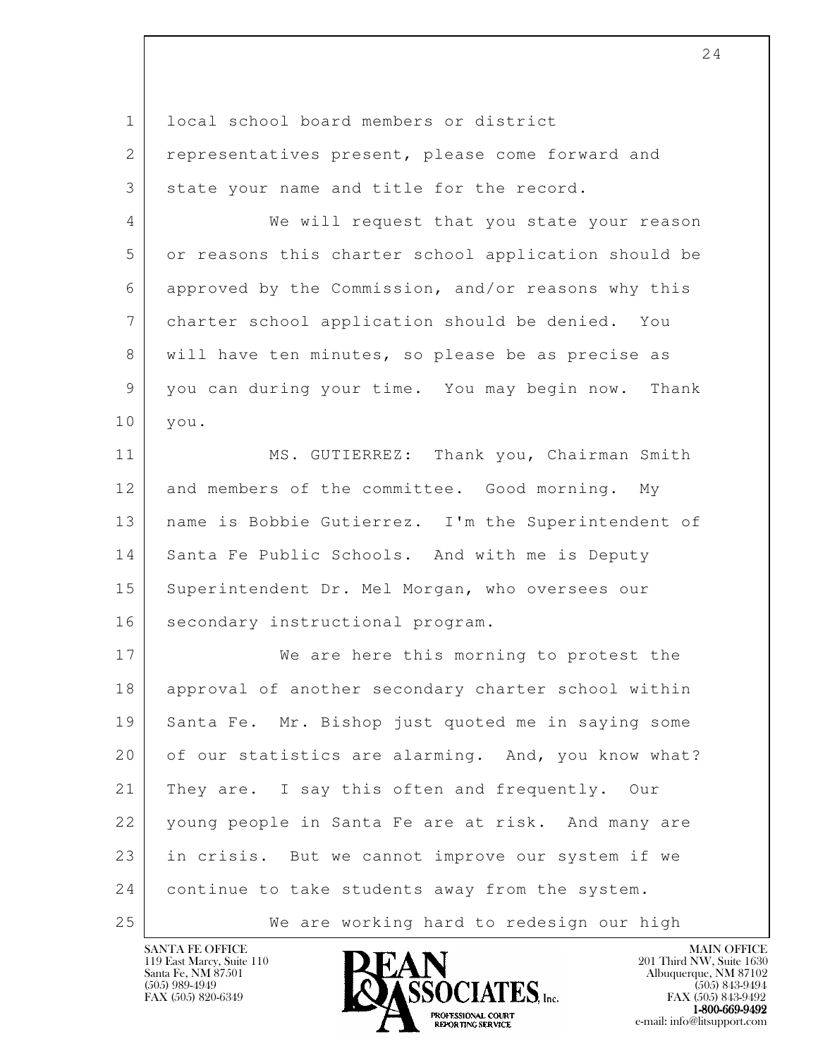| $\mathbf{1}$   | local school board members or district                |
|----------------|-------------------------------------------------------|
| $\overline{2}$ | representatives present, please come forward and      |
| 3              | state your name and title for the record.             |
| 4              | We will request that you state your reason            |
| 5              | or reasons this charter school application should be  |
| 6              | approved by the Commission, and/or reasons why this   |
| $7\phantom{.}$ | charter school application should be denied. You      |
| 8              | will have ten minutes, so please be as precise as     |
| 9              | you can during your time. You may begin now.<br>Thank |
| 10             | you.                                                  |
| 11             | MS. GUTIERREZ: Thank you, Chairman Smith              |
| 12             | and members of the committee. Good morning. My        |
| 13             | name is Bobbie Gutierrez. I'm the Superintendent of   |
| 14             | Santa Fe Public Schools. And with me is Deputy        |
| 15             | Superintendent Dr. Mel Morgan, who oversees our       |
| 16             | secondary instructional program.                      |
| 17             | We are here this morning to protest the               |
| 18             | approval of another secondary charter school within   |
| 19             | Santa Fe. Mr. Bishop just quoted me in saying some    |
| 20             | of our statistics are alarming. And, you know what?   |
| 21             | They are. I say this often and frequently. Our        |
| 22             | young people in Santa Fe are at risk. And many are    |
| 23             | in crisis. But we cannot improve our system if we     |
| 24             | continue to take students away from the system.       |
| 25             | We are working hard to redesign our high              |

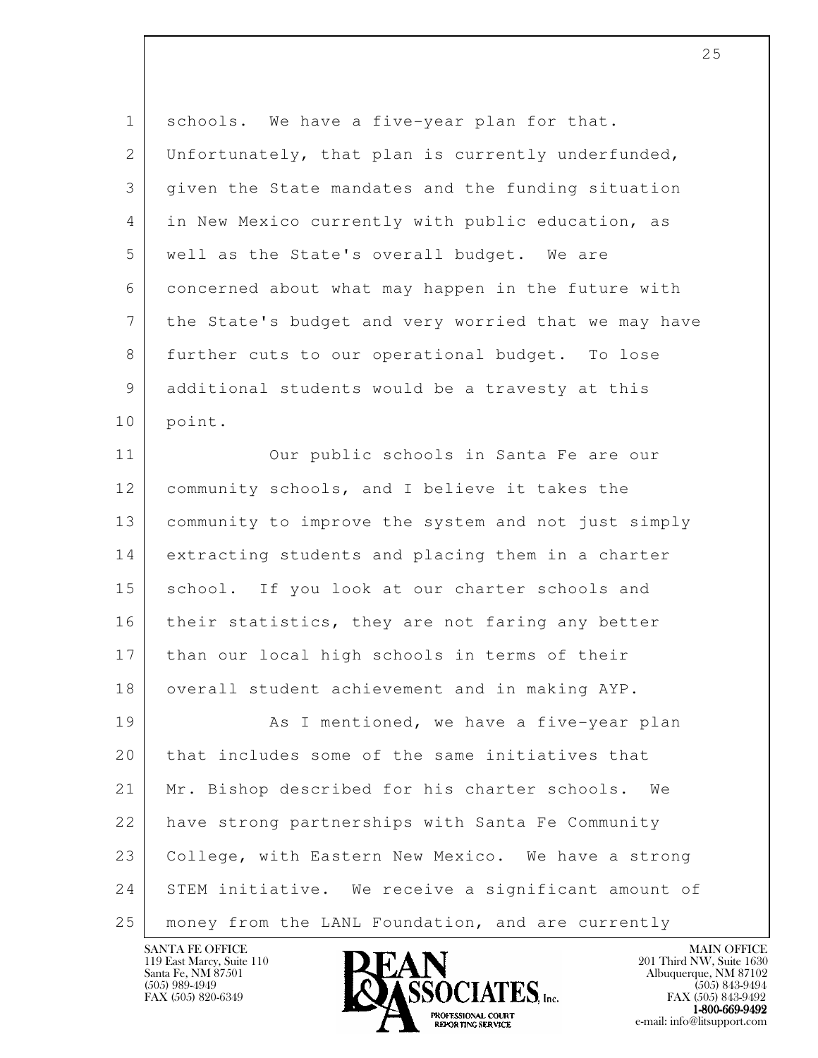| $\mathbf 1$ | schools. We have a five-year plan for that.          |
|-------------|------------------------------------------------------|
| 2           | Unfortunately, that plan is currently underfunded,   |
| 3           | given the State mandates and the funding situation   |
| 4           | in New Mexico currently with public education, as    |
| 5           | well as the State's overall budget. We are           |
| 6           | concerned about what may happen in the future with   |
| 7           | the State's budget and very worried that we may have |
| 8           | further cuts to our operational budget. To lose      |
| 9           | additional students would be a travesty at this      |
| 10          | point.                                               |
| 11          | Our public schools in Santa Fe are our               |
| 12          | community schools, and I believe it takes the        |
| 13          | community to improve the system and not just simply  |
| 14          | extracting students and placing them in a charter    |
| 15          | school. If you look at our charter schools and       |
| 16          | their statistics, they are not faring any better     |
| 17          | than our local high schools in terms of their        |
| 18          | overall student achievement and in making AYP        |
| 19          | As I mentioned, we have a five-year plan             |
| 20          | that includes some of the same initiatives that      |
| 21          | Mr. Bishop described for his charter schools.<br>We  |
| 22          | have strong partnerships with Santa Fe Community     |
| 23          | College, with Eastern New Mexico. We have a strong   |
| 24          | STEM initiative. We receive a significant amount of  |
| 25          | money from the LANL Foundation, and are currently    |

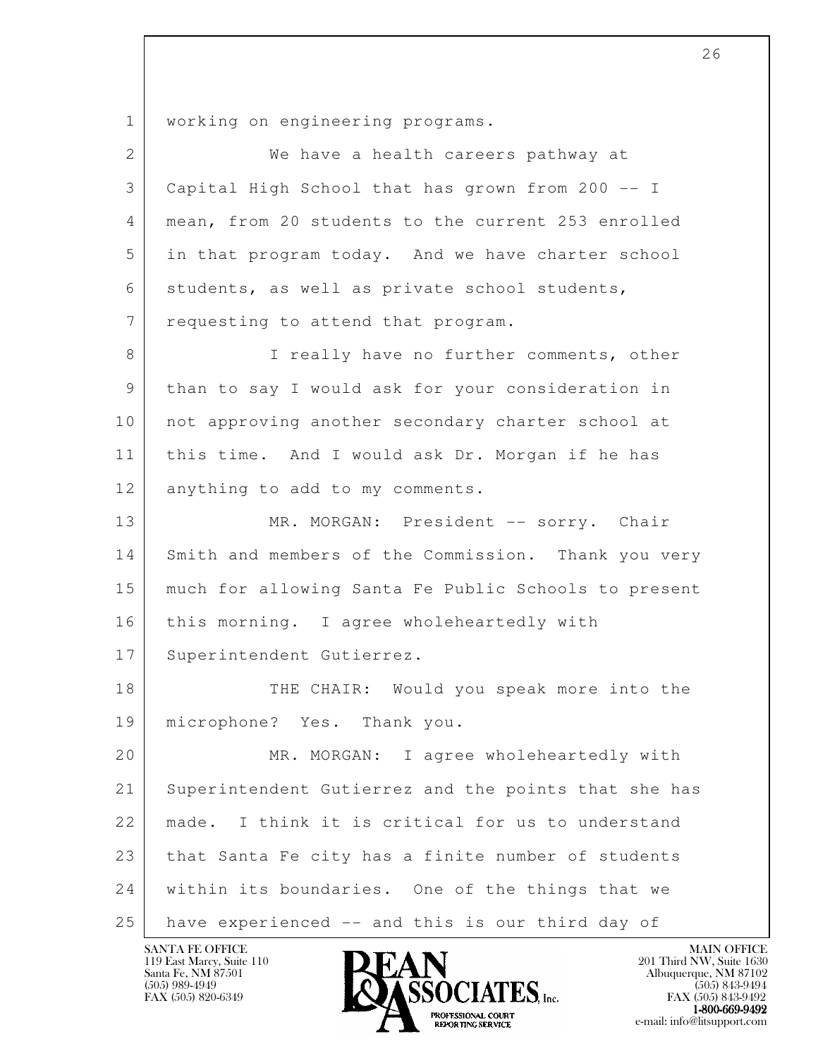l 1 working on engineering programs. 2 | We have a health careers pathway at 3 Capital High School that has grown from 200 -- I 4 mean, from 20 students to the current 253 enrolled 5 in that program today. And we have charter school 6 students, as well as private school students, 7 | requesting to attend that program. 8 I really have no further comments, other 9 than to say I would ask for your consideration in 10 not approving another secondary charter school at 11 this time. And I would ask Dr. Morgan if he has 12 anything to add to my comments. 13 MR. MORGAN: President -- sorry. Chair 14 Smith and members of the Commission. Thank you very 15 much for allowing Santa Fe Public Schools to present 16 | this morning. I agree wholeheartedly with 17 Superintendent Gutierrez. 18 THE CHAIR: Would you speak more into the 19 microphone? Yes. Thank you. 20 MR. MORGAN: I agree wholeheartedly with 21 Superintendent Gutierrez and the points that she has 22 made. I think it is critical for us to understand 23 | that Santa Fe city has a finite number of students 24 | within its boundaries. One of the things that we 25 have experienced -- and this is our third day of

119 East Marcy, Suite 110<br>Santa Fe, NM 87501



FAX (505) 843-9492  $1-800-669-9492$ <br>PROFESSIONAL COURT **EXPORTING SERVICE** EXPLORER THE REPORTING SERVICE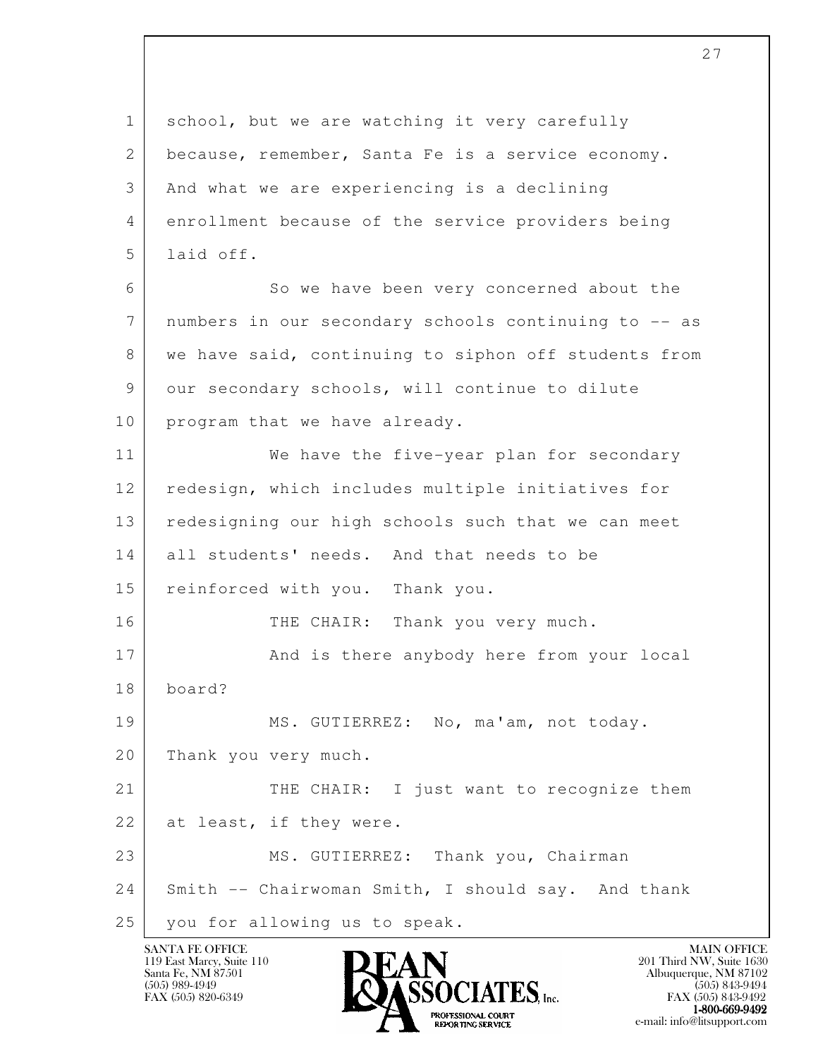l 1 school, but we are watching it very carefully 2 because, remember, Santa Fe is a service economy. 3 And what we are experiencing is a declining 4 enrollment because of the service providers being 5 laid off. 6 So we have been very concerned about the 7 numbers in our secondary schools continuing to -- as 8 we have said, continuing to siphon off students from 9 our secondary schools, will continue to dilute 10 | program that we have already. 11 We have the five-year plan for secondary 12 redesign, which includes multiple initiatives for 13 redesigning our high schools such that we can meet 14 all students' needs. And that needs to be 15 reinforced with you. Thank you. 16 THE CHAIR: Thank you very much. 17 And is there anybody here from your local 18 board? 19 MS. GUTIERREZ: No, ma'am, not today. 20 Thank you very much. 21 THE CHAIR: I just want to recognize them 22 at least, if they were. 23 MS. GUTIERREZ: Thank you, Chairman 24 Smith -- Chairwoman Smith, I should say. And thank 25 you for allowing us to speak.



FAX (505) 843-9492 **EXPORTING SERVICE** EXPLORER THE REPORTING SERVICE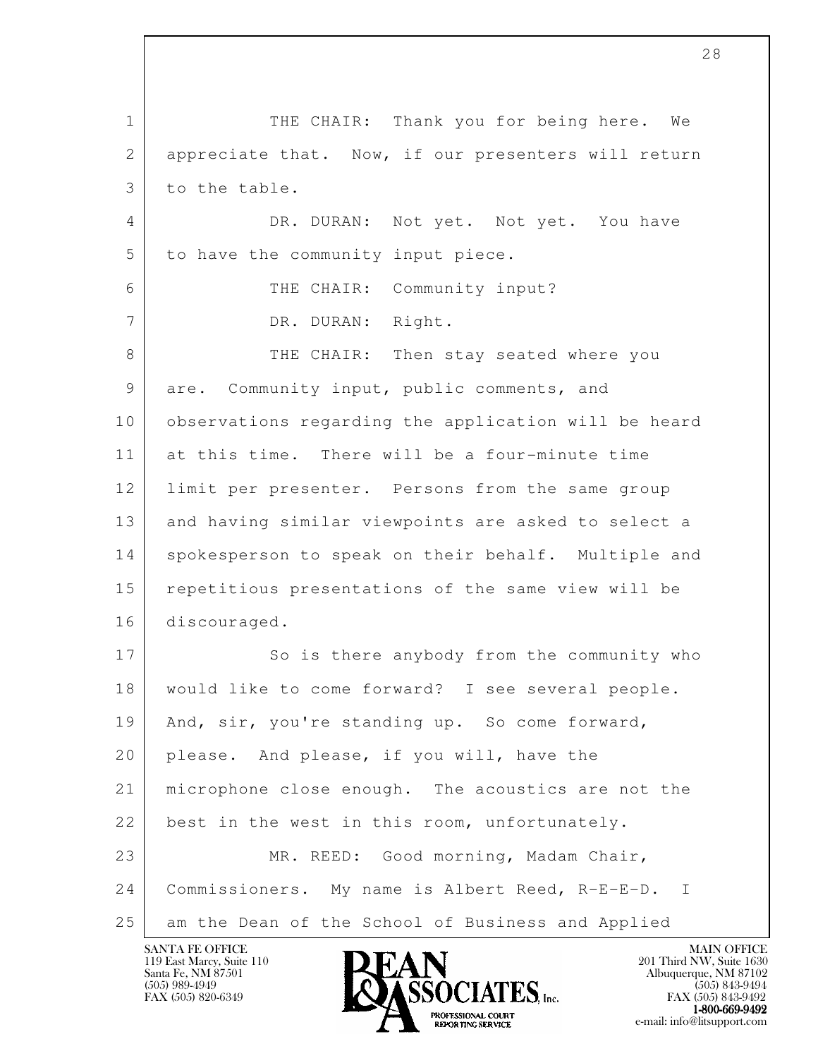l 1 THE CHAIR: Thank you for being here. We 2 appreciate that. Now, if our presenters will return 3 to the table. 4 DR. DURAN: Not yet. Not yet. You have 5 to have the community input piece. 6 THE CHAIR: Community input? 7 DR. DURAN: Right. 8 THE CHAIR: Then stay seated where you 9 are. Community input, public comments, and 10 observations regarding the application will be heard 11 at this time. There will be a four-minute time 12 limit per presenter. Persons from the same group 13 and having similar viewpoints are asked to select a 14 spokesperson to speak on their behalf. Multiple and 15 repetitious presentations of the same view will be 16 discouraged. 17 So is there anybody from the community who 18 would like to come forward? I see several people. 19 | And, sir, you're standing up. So come forward, 20 please. And please, if you will, have the 21 microphone close enough. The acoustics are not the 22 best in the west in this room, unfortunately. 23 MR. REED: Good morning, Madam Chair, 24 Commissioners. My name is Albert Reed, R-E-E-D. I 25 am the Dean of the School of Business and Applied

119 East Marcy, Suite 110<br>Santa Fe, NM 87501

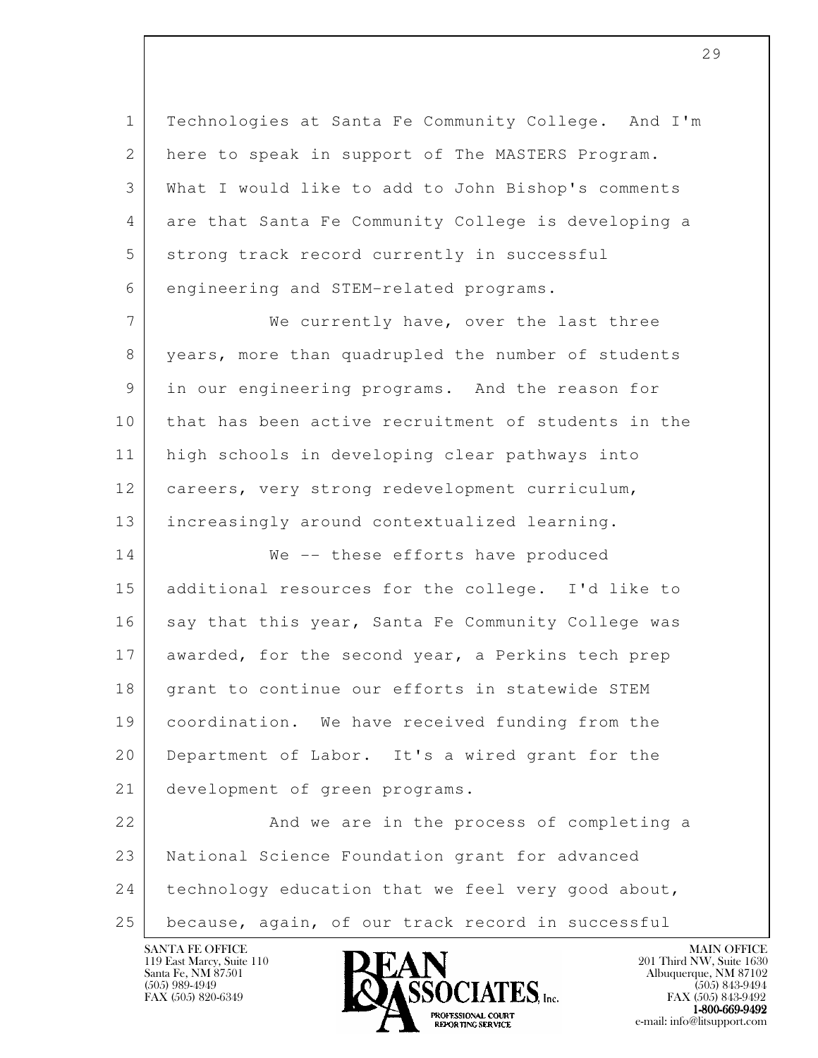1 Technologies at Santa Fe Community College. And I'm 2 here to speak in support of The MASTERS Program. 3 What I would like to add to John Bishop's comments 4 are that Santa Fe Community College is developing a 5 strong track record currently in successful 6 engineering and STEM-related programs.

7 We currently have, over the last three 8 years, more than quadrupled the number of students 9 in our engineering programs. And the reason for 10 that has been active recruitment of students in the 11 high schools in developing clear pathways into 12 careers, very strong redevelopment curriculum, 13 increasingly around contextualized learning. 14 We -- these efforts have produced 15 additional resources for the college. I'd like to 16 say that this year, Santa Fe Community College was 17 awarded, for the second year, a Perkins tech prep 18 grant to continue our efforts in statewide STEM 19 coordination. We have received funding from the

 20 Department of Labor. It's a wired grant for the 21 development of green programs.

l 22 And we are in the process of completing a 23 National Science Foundation grant for advanced 24 technology education that we feel very good about, 25 because, again, of our track record in successful



FAX (505) 843-9492 1-800-669-9492<br>PROFESSIONAL COURT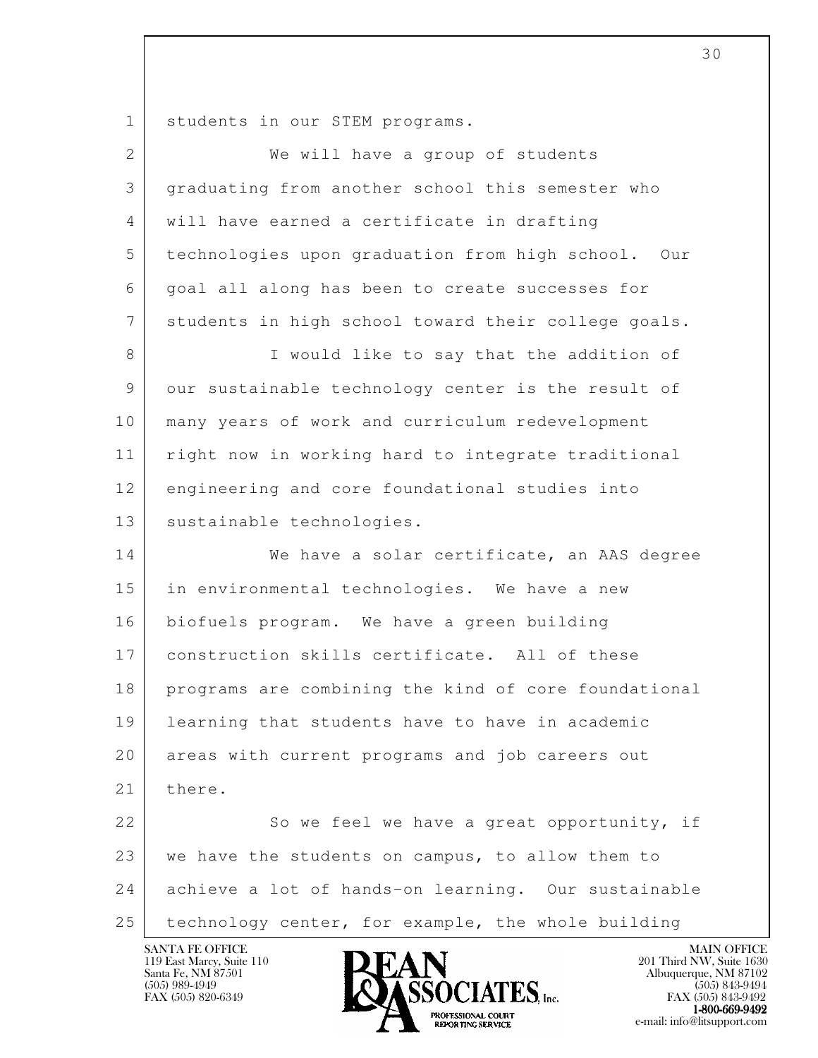1 students in our STEM programs.

| $\overline{2}$ | We will have a group of students                     |
|----------------|------------------------------------------------------|
| 3              | graduating from another school this semester who     |
| 4              | will have earned a certificate in drafting           |
| 5              | technologies upon graduation from high school. Our   |
| 6              | goal all along has been to create successes for      |
| 7              | students in high school toward their college goals.  |
| 8              | I would like to say that the addition of             |
| 9              | our sustainable technology center is the result of   |
| 10             | many years of work and curriculum redevelopment      |
| 11             | right now in working hard to integrate traditional   |
| 12             | engineering and core foundational studies into       |
| 13             | sustainable technologies.                            |
| 14             | We have a solar certificate, an AAS degree           |
| 15             | in environmental technologies. We have a new         |
| 16             | biofuels program. We have a green building           |
| 17             | construction skills certificate. All of these        |
| 18             | programs are combining the kind of core foundational |
| 19             | learning that students have to have in academic      |
| 20             | areas with current programs and job careers out      |
| 21             | there.                                               |
| 22             | So we feel we have a great opportunity, if           |
| 23             | we have the students on campus, to allow them to     |
| 24             | achieve a lot of hands-on learning. Our sustainable  |
| 25             | technology center, for example, the whole building   |

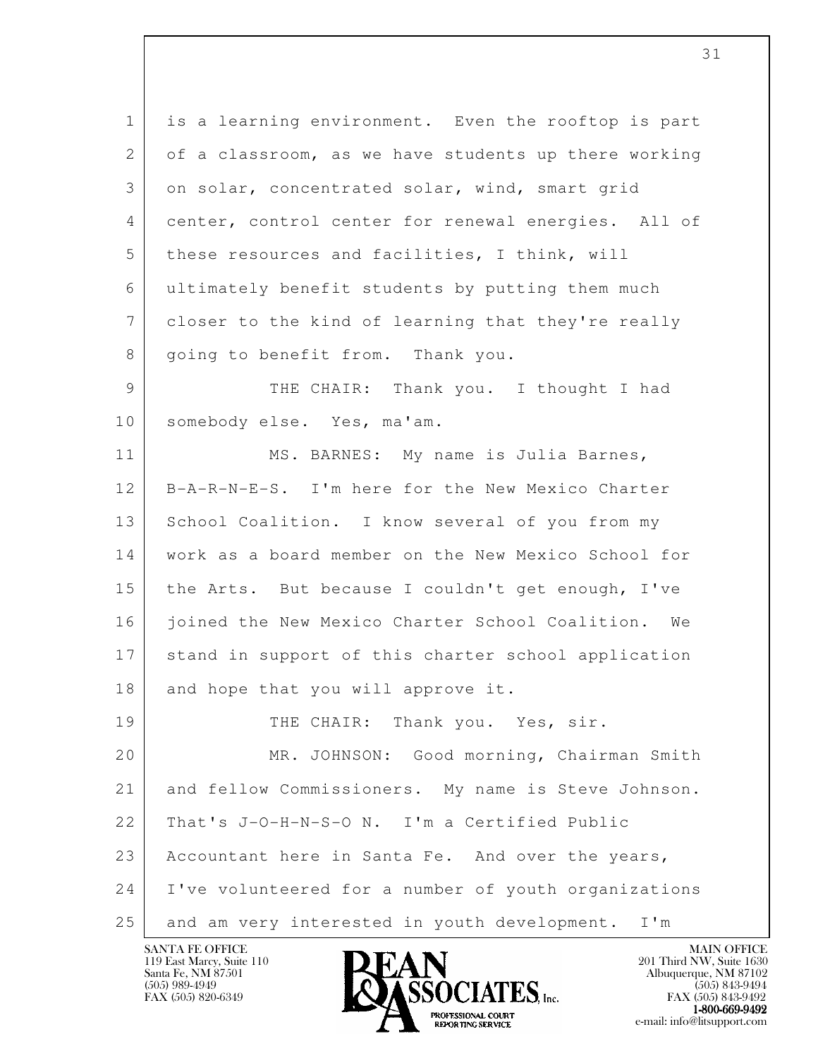l 1 is a learning environment. Even the rooftop is part  $2$  of a classroom, as we have students up there working 3 on solar, concentrated solar, wind, smart grid 4 center, control center for renewal energies. All of 5 these resources and facilities, I think, will 6 ultimately benefit students by putting them much 7 closer to the kind of learning that they're really 8 | going to benefit from. Thank you. 9 THE CHAIR: Thank you. I thought I had 10 | somebody else. Yes, ma'am. 11 | MS. BARNES: My name is Julia Barnes, 12 B-A-R-N-E-S. I'm here for the New Mexico Charter 13 School Coalition. I know several of you from my 14 work as a board member on the New Mexico School for 15 the Arts. But because I couldn't get enough, I've 16 joined the New Mexico Charter School Coalition. We 17 stand in support of this charter school application 18 and hope that you will approve it. 19 THE CHAIR: Thank you. Yes, sir. 20 MR. JOHNSON: Good morning, Chairman Smith 21 and fellow Commissioners. My name is Steve Johnson. 22 That's J-O-H-N-S-O N. I'm a Certified Public 23 Accountant here in Santa Fe. And over the years, 24 I've volunteered for a number of youth organizations 25 and am very interested in youth development. I'm

119 East Marcy, Suite 110<br>Santa Fe, NM 87501

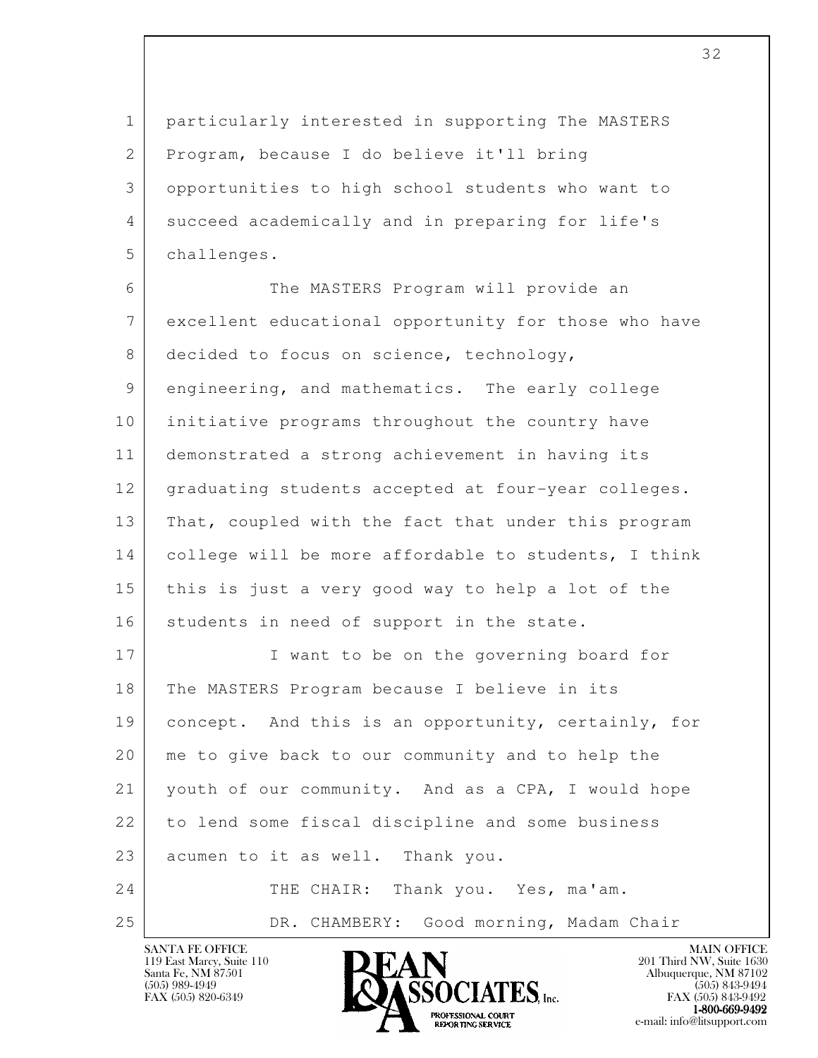1 particularly interested in supporting The MASTERS 2 Program, because I do believe it'll bring 3 opportunities to high school students who want to 4 succeed academically and in preparing for life's 5 challenges.

 6 The MASTERS Program will provide an 7 excellent educational opportunity for those who have 8 decided to focus on science, technology, 9 engineering, and mathematics. The early college 10 initiative programs throughout the country have 11 demonstrated a strong achievement in having its 12 graduating students accepted at four-year colleges. 13 That, coupled with the fact that under this program 14 college will be more affordable to students, I think 15 this is just a very good way to help a lot of the 16 students in need of support in the state. 17 I want to be on the governing board for

l 18 The MASTERS Program because I believe in its 19 concept. And this is an opportunity, certainly, for 20 me to give back to our community and to help the 21 youth of our community. And as a CPA, I would hope 22 to lend some fiscal discipline and some business 23 acumen to it as well. Thank you. 24 THE CHAIR: Thank you. Yes, ma'am. 25 | DR. CHAMBERY: Good morning, Madam Chair



FAX (505) 843-9492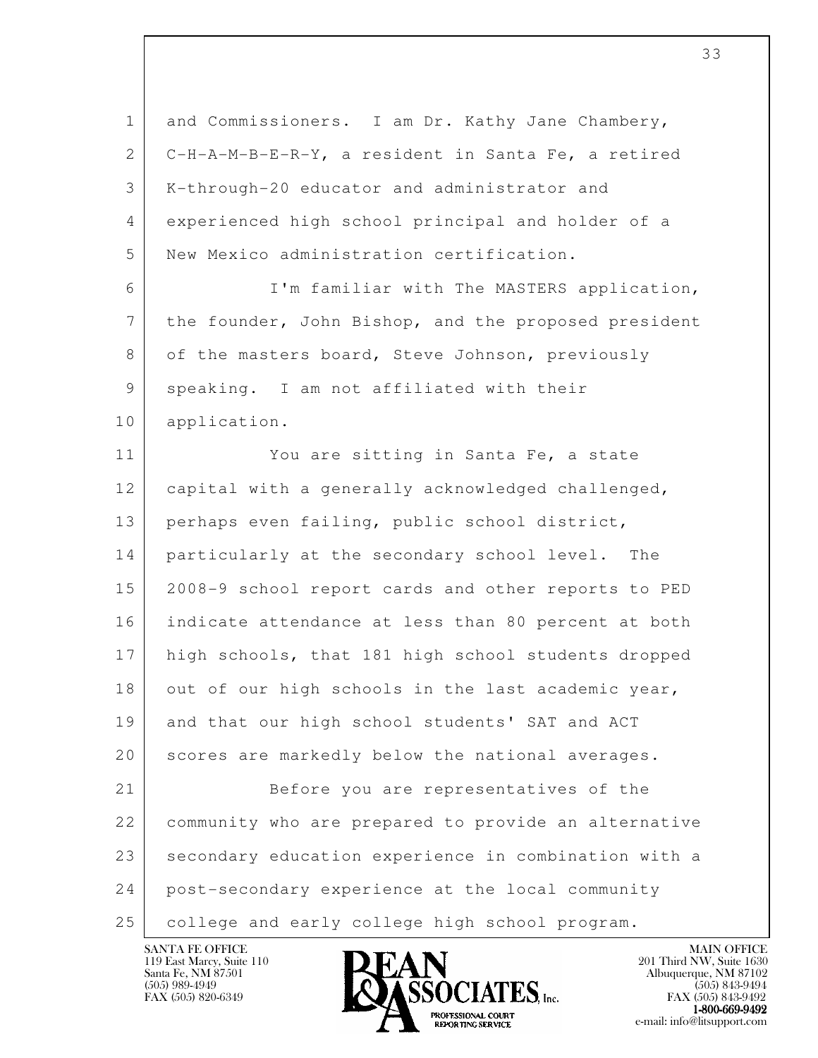| $\mathbf 1$  | and Commissioners. I am Dr. Kathy Jane Chambery,     |
|--------------|------------------------------------------------------|
| $\mathbf{2}$ | C-H-A-M-B-E-R-Y, a resident in Santa Fe, a retired   |
| 3            | K-through-20 educator and administrator and          |
| 4            | experienced high school principal and holder of a    |
| 5            | New Mexico administration certification.             |
| 6            | I'm familiar with The MASTERS application,           |
| 7            | the founder, John Bishop, and the proposed president |
| 8            | of the masters board, Steve Johnson, previously      |
| 9            | speaking. I am not affiliated with their             |
| 10           | application.                                         |
| 11           | You are sitting in Santa Fe, a state                 |
| 12           | capital with a generally acknowledged challenged,    |
| 13           | perhaps even failing, public school district,        |
| 14           | particularly at the secondary school level. The      |
| 15           | 2008-9 school report cards and other reports to PED  |
| 16           | indicate attendance at less than 80 percent at both  |
| 17           | high schools, that 181 high school students dropped  |
| 18           | out of our high schools in the last academic year,   |
| 19           | and that our high school students' SAT and ACT       |
| 20           | scores are markedly below the national averages.     |
| 21           | Before you are representatives of the                |
| 22           | community who are prepared to provide an alternative |
| 23           | secondary education experience in combination with a |
| 24           | post-secondary experience at the local community     |
| 25           | college and early college high school program.       |

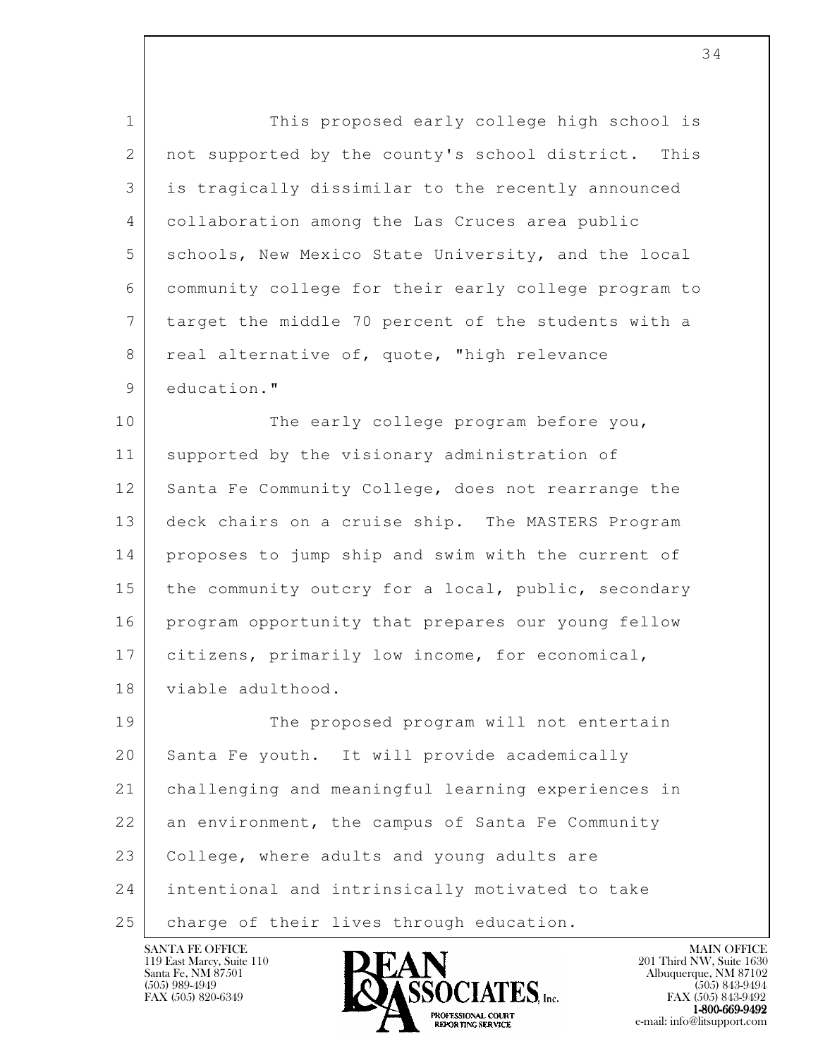1 This proposed early college high school is 2 | not supported by the county's school district. This 3 is tragically dissimilar to the recently announced 4 collaboration among the Las Cruces area public 5 schools, New Mexico State University, and the local 6 community college for their early college program to 7 target the middle 70 percent of the students with a 8 real alternative of, quote, "high relevance 9 education." 10 The early college program before you, 11 supported by the visionary administration of 12 Santa Fe Community College, does not rearrange the 13 deck chairs on a cruise ship. The MASTERS Program 14 proposes to jump ship and swim with the current of

15 the community outcry for a local, public, secondary 16 program opportunity that prepares our young fellow 17 citizens, primarily low income, for economical, 18 viable adulthood.

l 19 The proposed program will not entertain 20 Santa Fe youth. It will provide academically 21 challenging and meaningful learning experiences in 22 an environment, the campus of Santa Fe Community 23 College, where adults and young adults are 24 intentional and intrinsically motivated to take 25 | charge of their lives through education.

119 East Marcy, Suite 110<br>Santa Fe, NM 87501

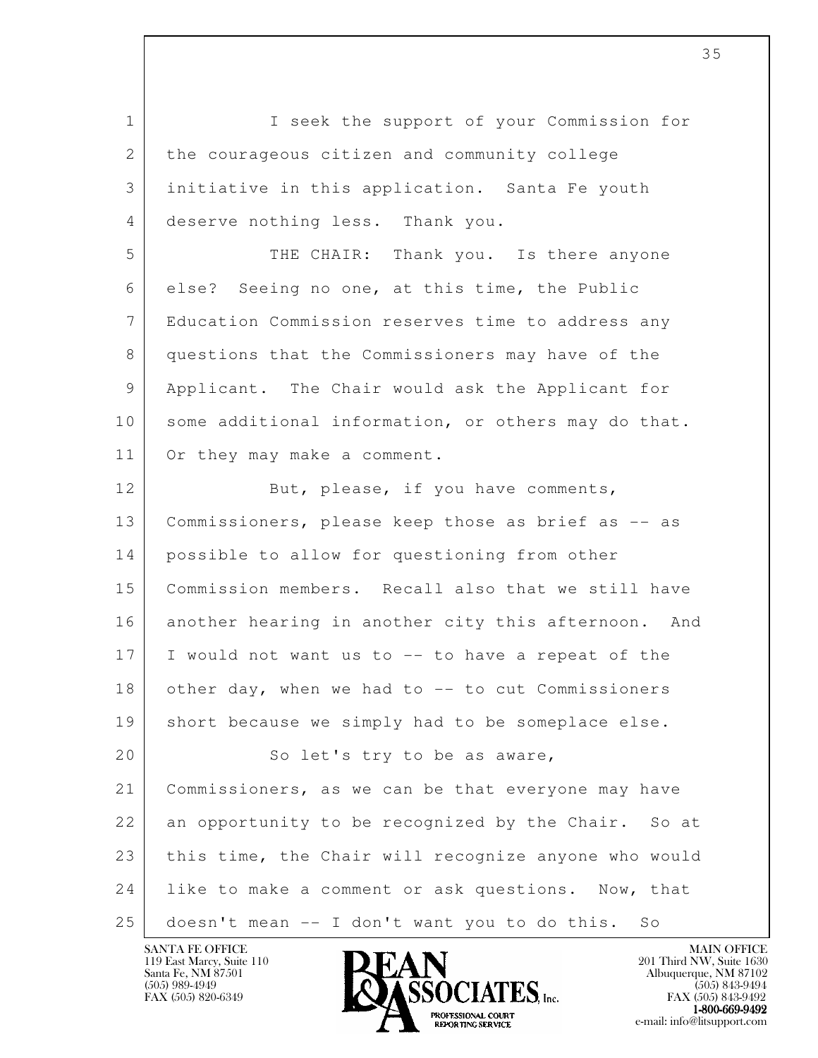l 1 I seek the support of your Commission for 2 the courageous citizen and community college 3 initiative in this application. Santa Fe youth 4 deserve nothing less. Thank you. 5 THE CHAIR: Thank you. Is there anyone 6 else? Seeing no one, at this time, the Public 7 Education Commission reserves time to address any 8 questions that the Commissioners may have of the 9 Applicant. The Chair would ask the Applicant for 10 some additional information, or others may do that. 11 Or they may make a comment. 12 But, please, if you have comments, 13 Commissioners, please keep those as brief as -- as 14 possible to allow for questioning from other 15 Commission members. Recall also that we still have 16 another hearing in another city this afternoon. And 17 I would not want us to -- to have a repeat of the 18 other day, when we had to -- to cut Commissioners 19 | short because we simply had to be someplace else. 20 | So let's try to be as aware, 21 Commissioners, as we can be that everyone may have 22 an opportunity to be recognized by the Chair. So at 23 this time, the Chair will recognize anyone who would 24 like to make a comment or ask questions. Now, that 25 doesn't mean -- I don't want you to do this. So

119 East Marcy, Suite 110<br>Santa Fe, NM 87501



FAX (505) 843-9492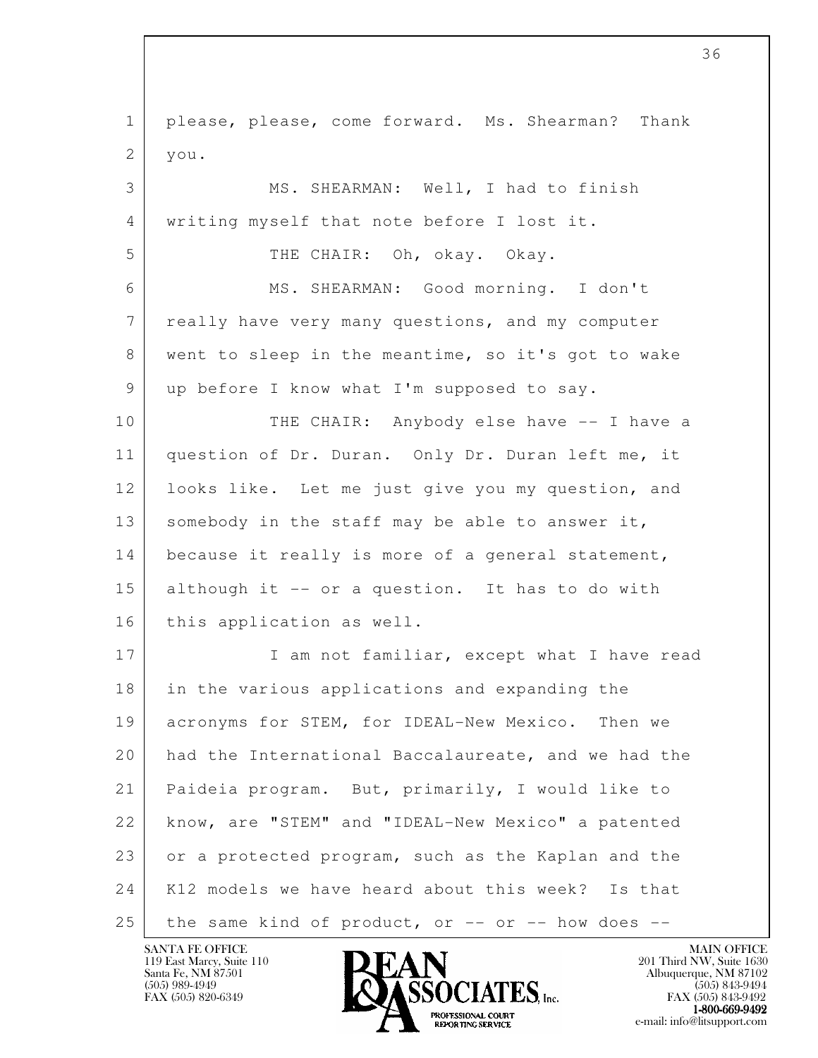l 1 please, please, come forward. Ms. Shearman? Thank  $2 \mid \text{you.}$  3 MS. SHEARMAN: Well, I had to finish 4 writing myself that note before I lost it. 5 THE CHAIR: Oh, okay. Okay. 6 MS. SHEARMAN: Good morning. I don't 7 really have very many questions, and my computer 8 went to sleep in the meantime, so it's got to wake 9 | up before I know what I'm supposed to say. 10 THE CHAIR: Anybody else have -- I have a 11 question of Dr. Duran. Only Dr. Duran left me, it 12 looks like. Let me just give you my question, and 13 somebody in the staff may be able to answer it, 14 because it really is more of a general statement, 15 although it -- or a question. It has to do with 16 | this application as well. 17 I am not familiar, except what I have read 18 in the various applications and expanding the 19 acronyms for STEM, for IDEAL-New Mexico. Then we 20 had the International Baccalaureate, and we had the 21 Paideia program. But, primarily, I would like to 22 know, are "STEM" and "IDEAL-New Mexico" a patented 23 or a protected program, such as the Kaplan and the 24 K12 models we have heard about this week? Is that  $25$  the same kind of product, or  $-$  or  $-$  how does  $-$ 

119 East Marcy, Suite 110<br>Santa Fe, NM 87501

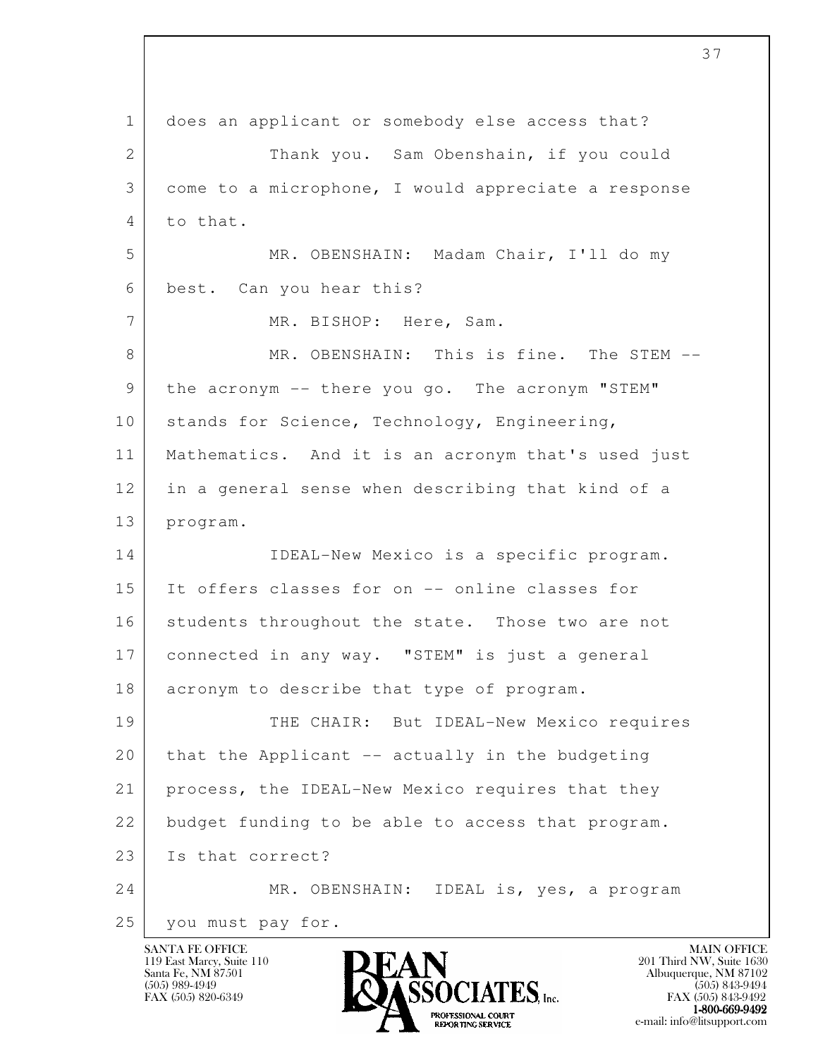l 1 does an applicant or somebody else access that? 2 Thank you. Sam Obenshain, if you could 3 come to a microphone, I would appreciate a response 4 to that. 5 MR. OBENSHAIN: Madam Chair, I'll do my 6 best. Can you hear this? 7 MR. BISHOP: Here, Sam. 8 MR. OBENSHAIN: This is fine. The STEM -- 9 the acronym -- there you go. The acronym "STEM" 10 stands for Science, Technology, Engineering, 11 Mathematics. And it is an acronym that's used just 12 in a general sense when describing that kind of a 13 program. 14 IDEAL-New Mexico is a specific program. 15 It offers classes for on -- online classes for 16 students throughout the state. Those two are not 17 connected in any way. "STEM" is just a general 18 acronym to describe that type of program. 19 THE CHAIR: But IDEAL-New Mexico requires  $20$  that the Applicant  $-$  actually in the budgeting 21 process, the IDEAL-New Mexico requires that they 22 budget funding to be able to access that program. 23 Is that correct? 24 MR. OBENSHAIN: IDEAL is, yes, a program 25 you must pay for.

119 East Marcy, Suite 110<br>Santa Fe, NM 87501

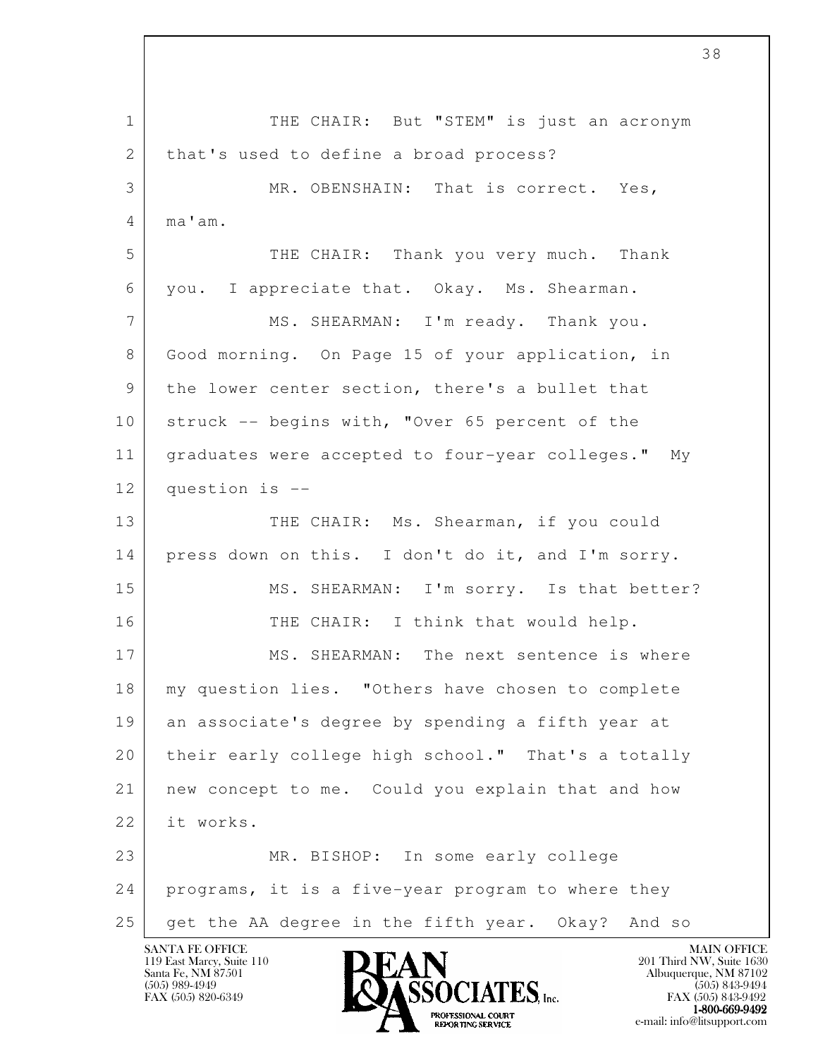l 1 | THE CHAIR: But "STEM" is just an acronym 2 that's used to define a broad process? 3 MR. OBENSHAIN: That is correct. Yes, 4 ma'am. 5 THE CHAIR: Thank you very much. Thank 6 you. I appreciate that. Okay. Ms. Shearman. 7 MS. SHEARMAN: I'm ready. Thank you. 8 Good morning. On Page 15 of your application, in 9 the lower center section, there's a bullet that 10 struck -- begins with, "Over 65 percent of the 11 graduates were accepted to four-year colleges." My 12 question is -- 13 THE CHAIR: Ms. Shearman, if you could 14 press down on this. I don't do it, and I'm sorry. 15 MS. SHEARMAN: I'm sorry. Is that better? 16 THE CHAIR: I think that would help. 17 MS. SHEARMAN: The next sentence is where 18 my question lies. "Others have chosen to complete 19 an associate's degree by spending a fifth year at 20 their early college high school." That's a totally 21 new concept to me. Could you explain that and how 22 it works. 23 MR. BISHOP: In some early college 24 programs, it is a five-year program to where they 25 get the AA degree in the fifth year. Okay? And so

119 East Marcy, Suite 110<br>Santa Fe, NM 87501



 $FAX (505) 843-9492$ <br>1-800-669-9492 **EXOFTSSIONAL COURT<br>
REPORTING SERVICE** e-mail: info@litsupport.com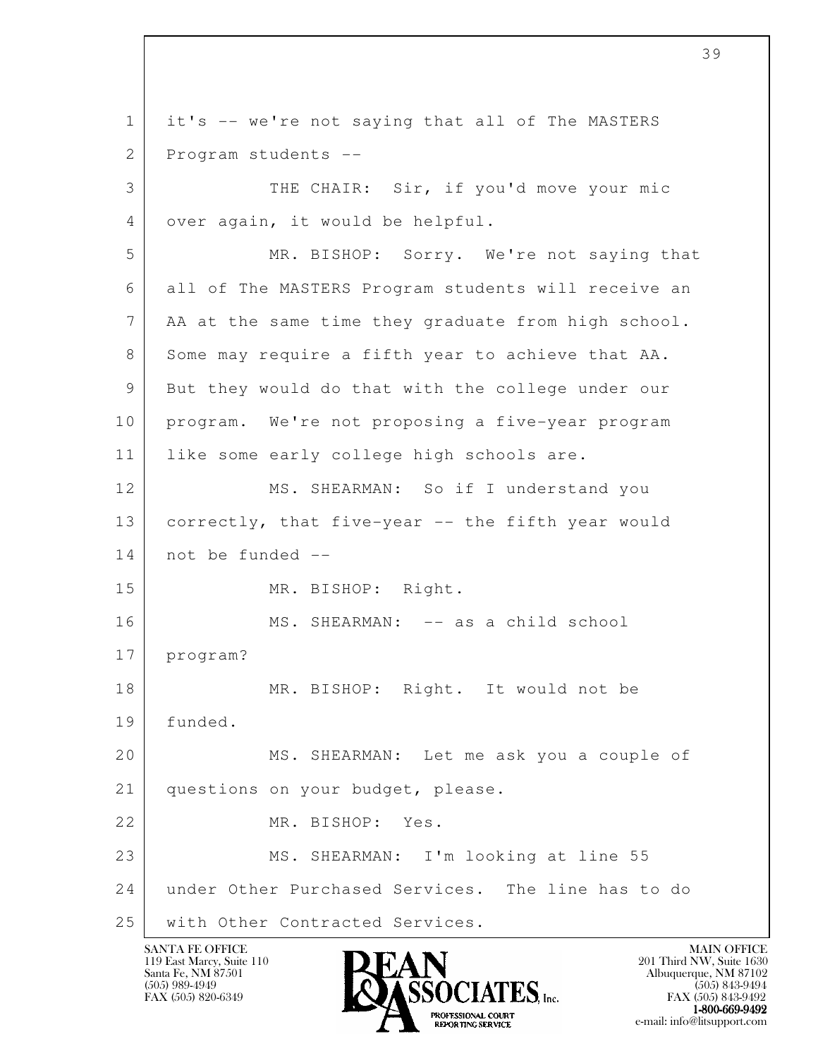l 1 it's -- we're not saying that all of The MASTERS 2 Program students -- 3 THE CHAIR: Sir, if you'd move your mic 4 over again, it would be helpful. 5 MR. BISHOP: Sorry. We're not saying that 6 all of The MASTERS Program students will receive an 7 AA at the same time they graduate from high school. 8 Some may require a fifth year to achieve that AA. 9 But they would do that with the college under our 10 program. We're not proposing a five-year program 11 | like some early college high schools are. 12 MS. SHEARMAN: So if I understand you 13 correctly, that five-year -- the fifth year would 14 not be funded -- 15 MR. BISHOP: Right. 16 | MS. SHEARMAN: -- as a child school 17 program? 18 MR. BISHOP: Right. It would not be 19 funded. 20 MS. SHEARMAN: Let me ask you a couple of 21 questions on your budget, please. 22 MR. BISHOP: Yes. 23 MS. SHEARMAN: I'm looking at line 55 24 under Other Purchased Services. The line has to do 25 | with Other Contracted Services.

119 East Marcy, Suite 110<br>Santa Fe, NM 87501

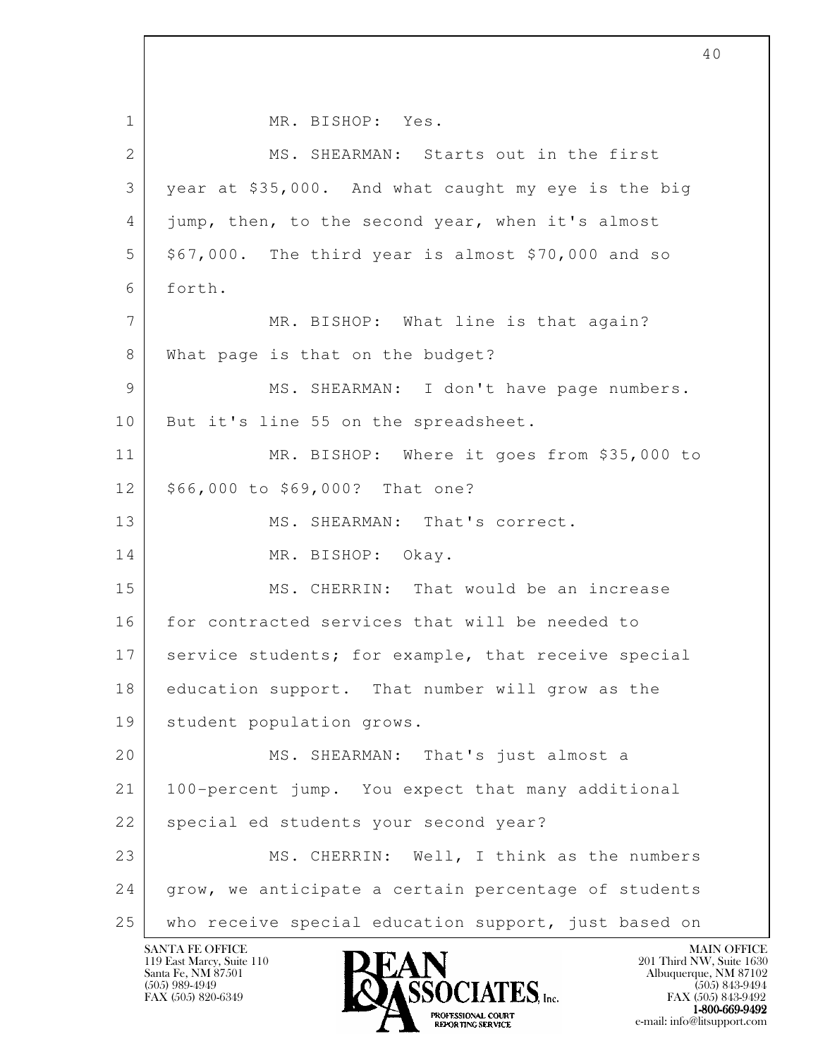l 1 MR. BISHOP: Yes. 2 MS. SHEARMAN: Starts out in the first 3 year at \$35,000. And what caught my eye is the big 4 jump, then, to the second year, when it's almost  $5$  \$67,000. The third year is almost \$70,000 and so 6 forth. 7 MR. BISHOP: What line is that again? 8 What page is that on the budget? 9 MS. SHEARMAN: I don't have page numbers. 10 | But it's line 55 on the spreadsheet. 11 MR. BISHOP: Where it goes from \$35,000 to 12 \$66,000 to \$69,000? That one? 13 MS. SHEARMAN: That's correct. 14 MR. BISHOP: Okay. 15 MS. CHERRIN: That would be an increase 16 for contracted services that will be needed to 17 service students; for example, that receive special 18 education support. That number will grow as the 19 student population grows. 20 MS. SHEARMAN: That's just almost a 21 100-percent jump. You expect that many additional 22 | special ed students your second year? 23 MS. CHERRIN: Well, I think as the numbers 24 | grow, we anticipate a certain percentage of students 25 who receive special education support, just based on

119 East Marcy, Suite 110<br>Santa Fe, NM 87501

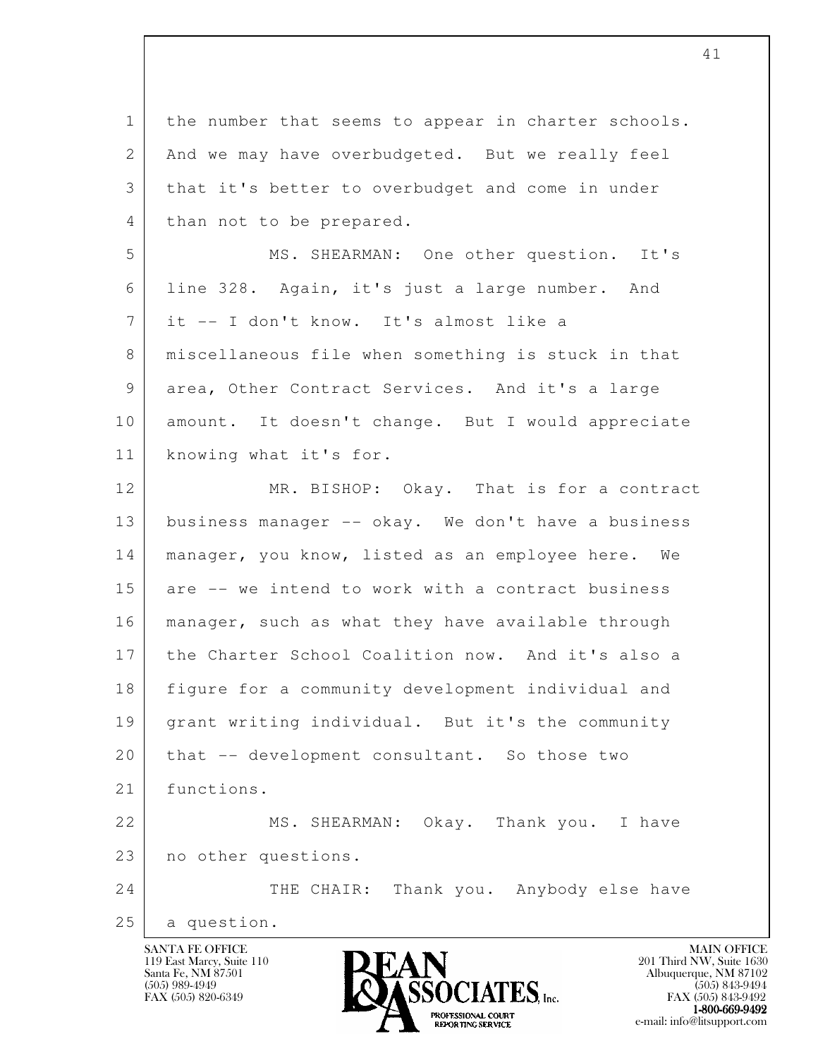l 1 the number that seems to appear in charter schools. 2 And we may have overbudgeted. But we really feel 3 that it's better to overbudget and come in under 4 than not to be prepared. 5 MS. SHEARMAN: One other question. It's 6 line 328. Again, it's just a large number. And 7 it -- I don't know. It's almost like a 8 miscellaneous file when something is stuck in that 9 area, Other Contract Services. And it's a large 10 | amount. It doesn't change. But I would appreciate 11 knowing what it's for. 12 MR. BISHOP: Okay. That is for a contract 13 business manager -- okay. We don't have a business 14 | manager, you know, listed as an employee here. We 15 are -- we intend to work with a contract business 16 manager, such as what they have available through 17 the Charter School Coalition now. And it's also a 18 figure for a community development individual and 19 grant writing individual. But it's the community 20 | that -- development consultant. So those two 21 functions. 22 MS. SHEARMAN: Okay. Thank you. I have 23 no other questions. 24 THE CHAIR: Thank you. Anybody else have 25 a question.

41

119 East Marcy, Suite 110<br>Santa Fe, NM 87501

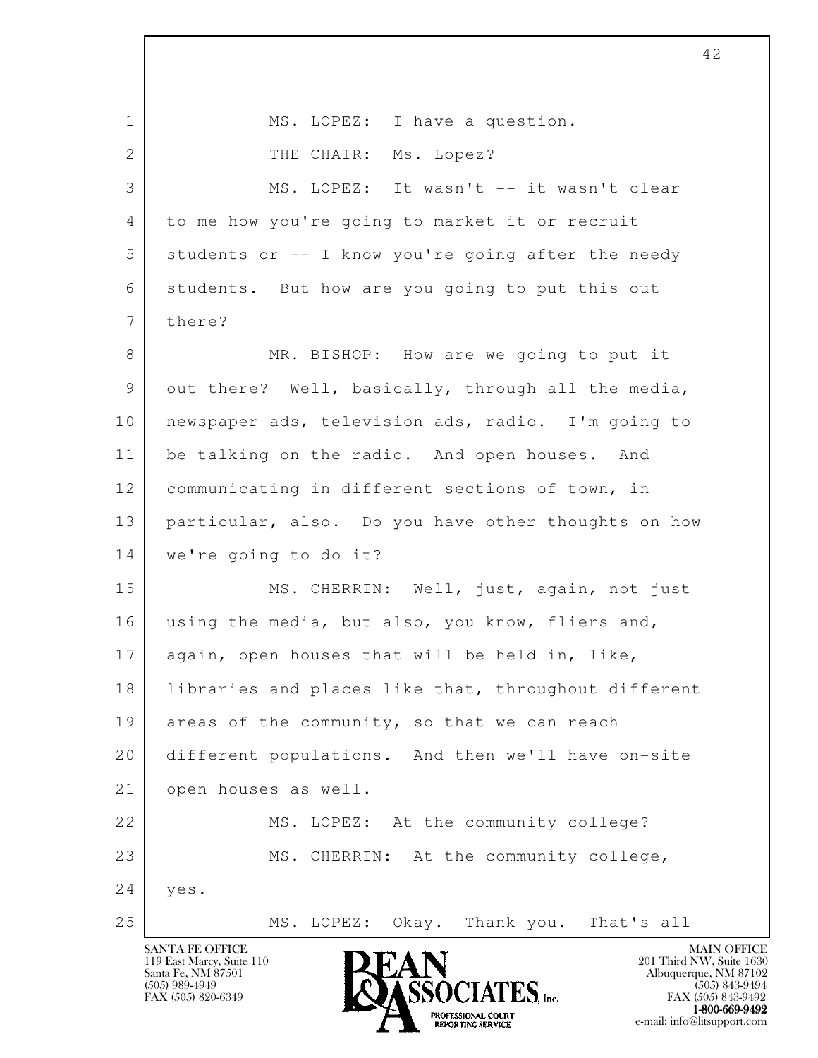l 1 | MS. LOPEZ: I have a question. 2 THE CHAIR: Ms. Lopez? 3 MS. LOPEZ: It wasn't -- it wasn't clear 4 to me how you're going to market it or recruit 5 students or -- I know you're going after the needy 6 students. But how are you going to put this out 7 there? 8 MR. BISHOP: How are we going to put it 9 out there? Well, basically, through all the media, 10 newspaper ads, television ads, radio. I'm going to 11 be talking on the radio. And open houses. And 12 communicating in different sections of town, in 13 particular, also. Do you have other thoughts on how 14 we're going to do it? 15 MS. CHERRIN: Well, just, again, not just 16 using the media, but also, you know, fliers and, 17 again, open houses that will be held in, like, 18 | libraries and places like that, throughout different 19 areas of the community, so that we can reach 20 different populations. And then we'll have on-site 21 open houses as well. 22 MS. LOPEZ: At the community college? 23 MS. CHERRIN: At the community college, 24 yes. 25 MS. LOPEZ: Okay. Thank you. That's all

119 East Marcy, Suite 110<br>Santa Fe, NM 87501



FAX (505) 843-9492 1-800-669-9492<br>PROFESSIONAL COURT **EXPORTING SERVICE**<br>REPORTING SERVICE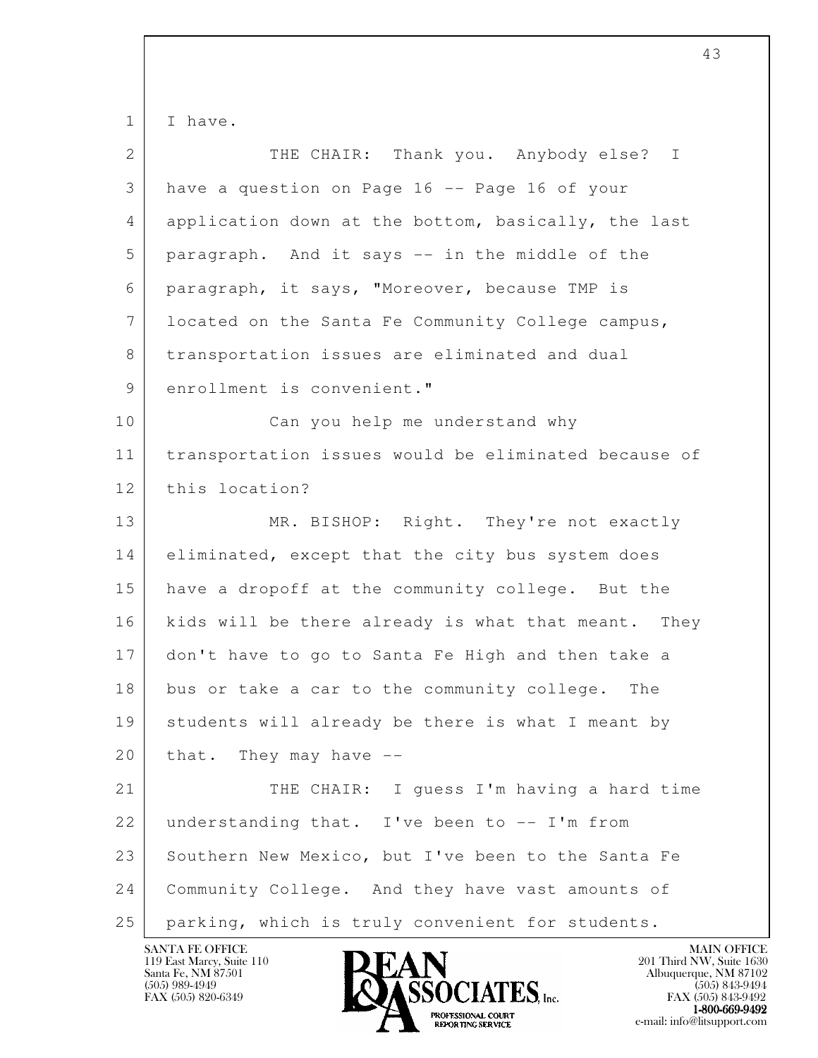1 I have.

| $\overline{2}$  | THE CHAIR: Thank you. Anybody else?<br>$\mathbb{I}$  |
|-----------------|------------------------------------------------------|
| 3               | have a question on Page 16 -- Page 16 of your        |
| 4               | application down at the bottom, basically, the last  |
| 5               | paragraph. And it says -- in the middle of the       |
| 6               | paragraph, it says, "Moreover, because TMP is        |
| $7\phantom{.0}$ | located on the Santa Fe Community College campus,    |
| 8               | transportation issues are eliminated and dual        |
| 9               | enrollment is convenient."                           |
| 10              | Can you help me understand why                       |
| 11              | transportation issues would be eliminated because of |
| 12              | this location?                                       |
| 13              | MR. BISHOP: Right. They're not exactly               |
| 14              | eliminated, except that the city bus system does     |
| 15              | have a dropoff at the community college. But the     |
| 16              | kids will be there already is what that meant. They  |
| 17              | don't have to go to Santa Fe High and then take a    |
| 18              | bus or take a car to the community college. The      |
| 19              | students will already be there is what I meant by    |
| 20              | that. They may have --                               |
| 21              | THE CHAIR: I quess I'm having a hard time            |
| 22              | understanding that. I've been to -- I'm from         |
| 23              | Southern New Mexico, but I've been to the Santa Fe   |
| 24              | Community College. And they have vast amounts of     |
| 25              | parking, which is truly convenient for students.     |

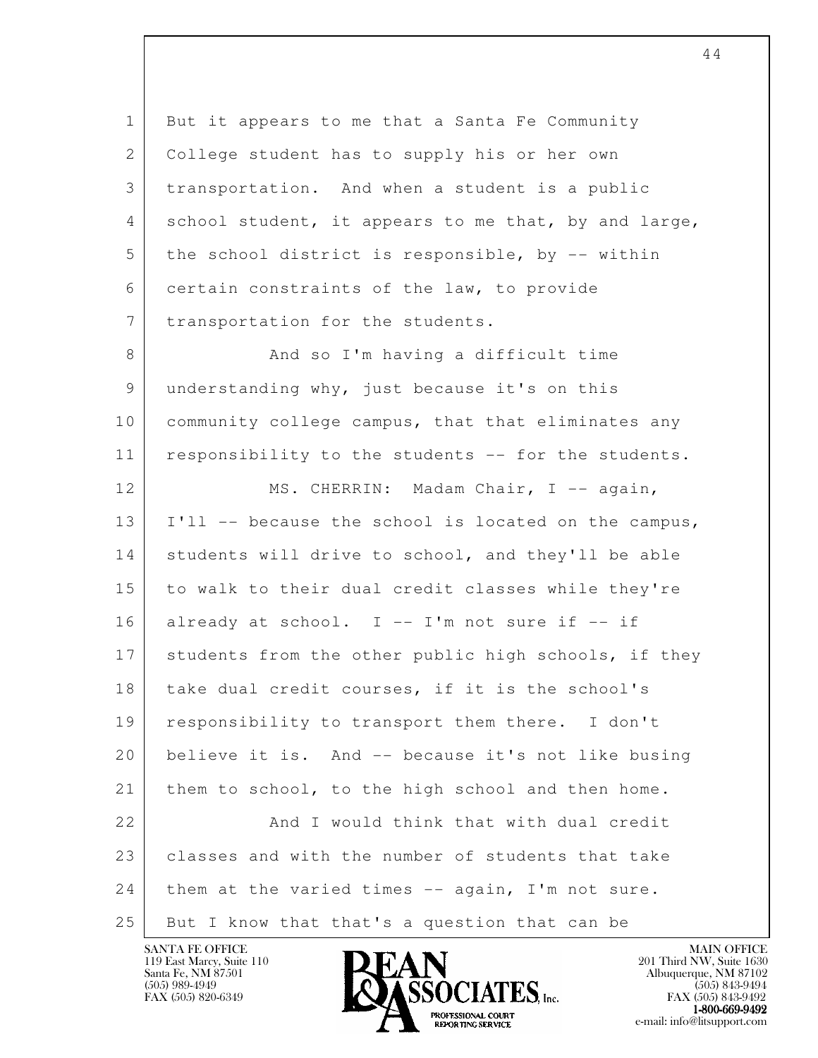l 1 But it appears to me that a Santa Fe Community 2 | College student has to supply his or her own 3 transportation. And when a student is a public 4 school student, it appears to me that, by and large, 5 the school district is responsible, by -- within 6 certain constraints of the law, to provide 7 | transportation for the students. 8 And so I'm having a difficult time 9 understanding why, just because it's on this 10 community college campus, that that eliminates any 11 responsibility to the students -- for the students. 12 MS. CHERRIN: Madam Chair, I -- again, 13 I'll -- because the school is located on the campus, 14 students will drive to school, and they'll be able 15 to walk to their dual credit classes while they're  $16$  already at school. I -- I'm not sure if -- if 17 students from the other public high schools, if they 18 | take dual credit courses, if it is the school's 19 responsibility to transport them there. I don't 20 believe it is. And -- because it's not like busing 21 them to school, to the high school and then home. 22 And I would think that with dual credit 23 classes and with the number of students that take 24 them at the varied times -- again, I'm not sure. 25 But I know that that's a question that can be

119 East Marcy, Suite 110<br>Santa Fe, NM 87501



FAX (505) 843-9492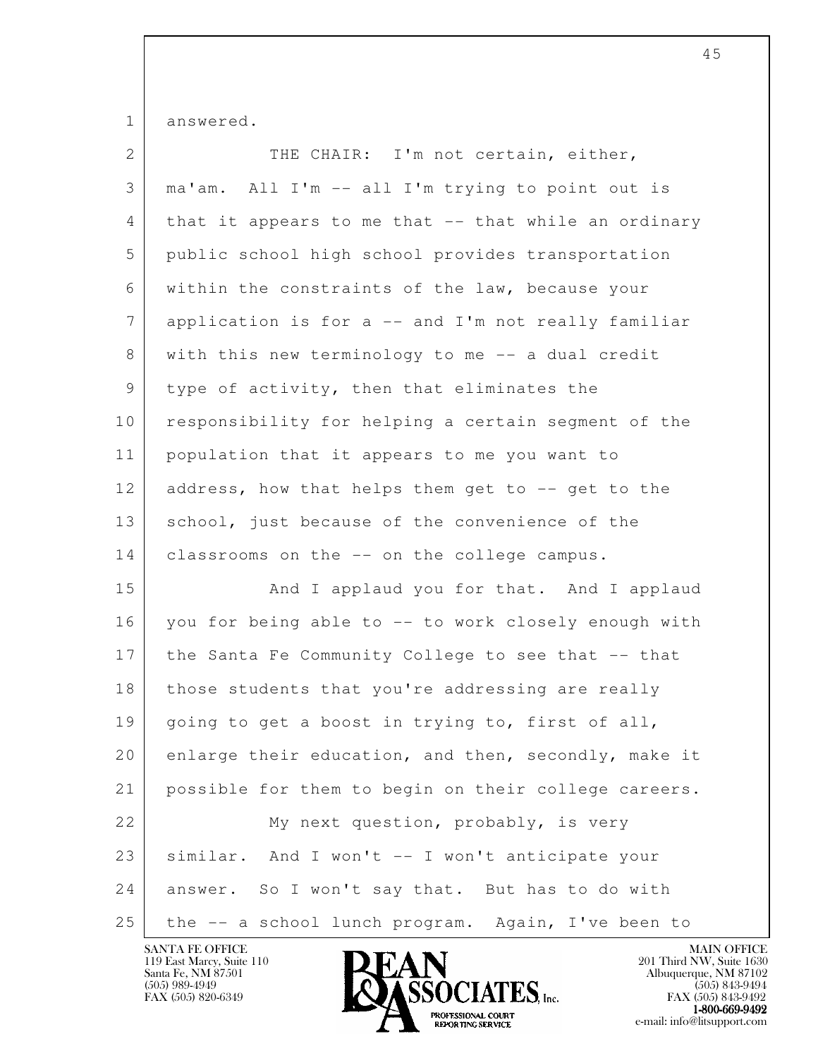1 answered.

| 2  | THE CHAIR: I'm not certain, either,                   |
|----|-------------------------------------------------------|
| 3  | ma'am. All I'm -- all I'm trying to point out is      |
| 4  | that it appears to me that -- that while an ordinary  |
| 5  | public school high school provides transportation     |
| 6  | within the constraints of the law, because your       |
| 7  | application is for $a$ -- and I'm not really familiar |
| 8  | with this new terminology to me -- a dual credit      |
| 9  | type of activity, then that eliminates the            |
| 10 | responsibility for helping a certain segment of the   |
| 11 | population that it appears to me you want to          |
| 12 | address, how that helps them get to -- get to the     |
| 13 | school, just because of the convenience of the        |
| 14 | classrooms on the -- on the college campus.           |
| 15 | And I applaud you for that. And I applaud             |
| 16 | you for being able to -- to work closely enough with  |
| 17 | the Santa Fe Community College to see that -- that    |
| 18 | those students that you're addressing are really      |
| 19 | going to get a boost in trying to, first of all,      |
| 20 | enlarge their education, and then, secondly, make it  |
| 21 | possible for them to begin on their college careers.  |
| 22 | My next question, probably, is very                   |
| 23 | similar. And I won't -- I won't anticipate your       |
| 24 | answer. So I won't say that. But has to do with       |
| 25 | the -- a school lunch program. Again, I've been to    |

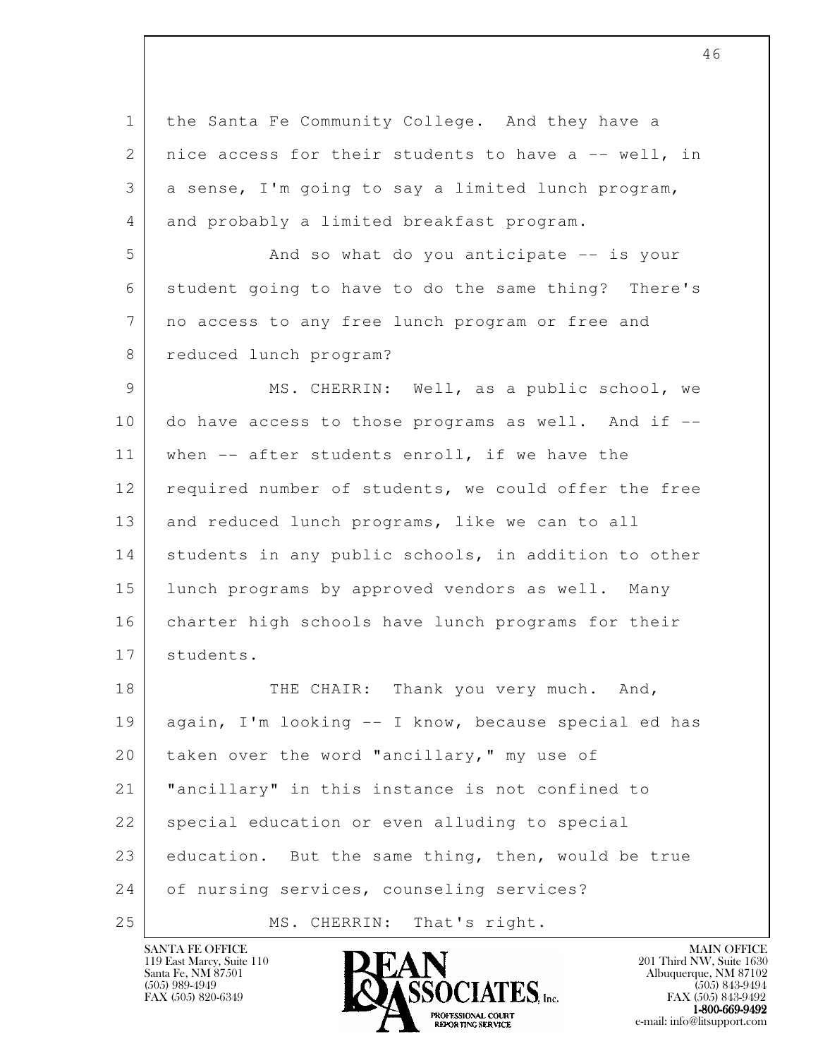l 1 the Santa Fe Community College. And they have a 2 | nice access for their students to have a  $-$  well, in 3 a sense, I'm going to say a limited lunch program, 4 and probably a limited breakfast program. 5 And so what do you anticipate -- is your 6 student going to have to do the same thing? There's 7 no access to any free lunch program or free and 8 reduced lunch program? 9 | MS. CHERRIN: Well, as a public school, we 10 do have access to those programs as well. And if --11 | when -- after students enroll, if we have the 12 required number of students, we could offer the free 13 and reduced lunch programs, like we can to all 14 students in any public schools, in addition to other 15 lunch programs by approved vendors as well. Many 16 charter high schools have lunch programs for their 17 students. 18 THE CHAIR: Thank you very much. And, 19 again, I'm looking -- I know, because special ed has 20 taken over the word "ancillary," my use of 21 "ancillary" in this instance is not confined to 22 special education or even alluding to special 23 education. But the same thing, then, would be true

24 of nursing services, counseling services?

25 MS. CHERRIN: That's right.

119 East Marcy, Suite 110<br>Santa Fe, NM 87501



FAX (505) 843-9492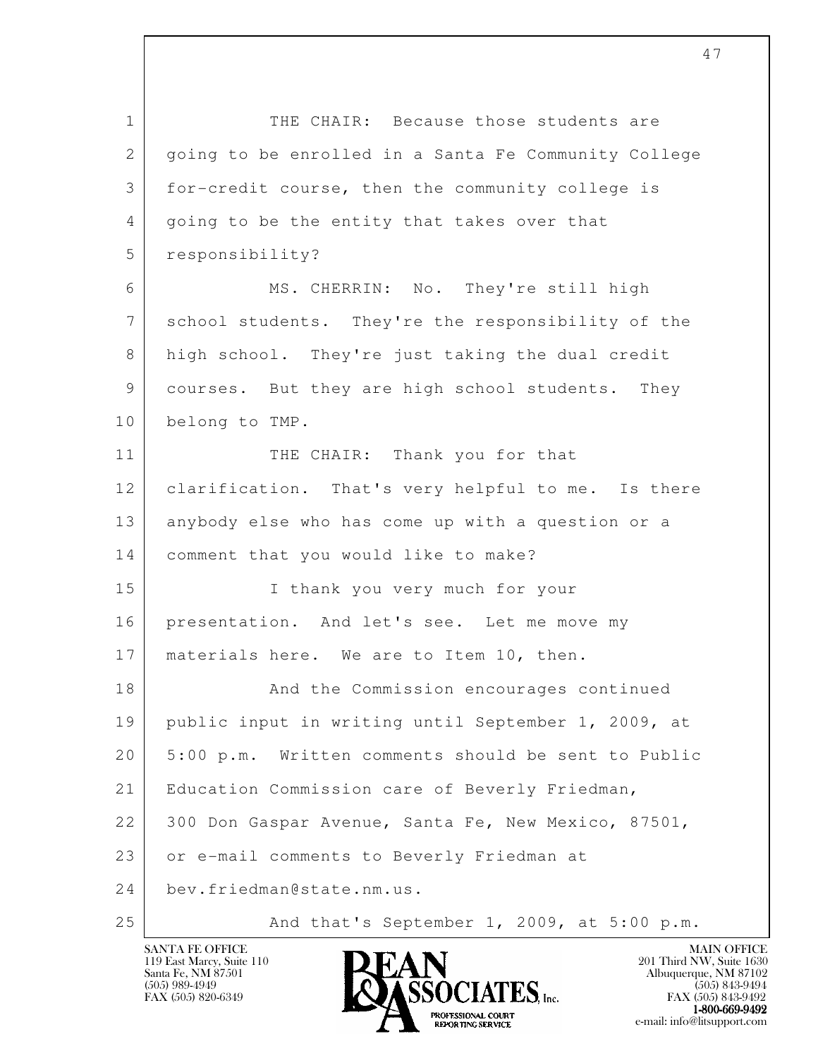l 1 THE CHAIR: Because those students are 2 | going to be enrolled in a Santa Fe Community College 3 for-credit course, then the community college is 4 going to be the entity that takes over that 5 responsibility? 6 MS. CHERRIN: No. They're still high 7 school students. They're the responsibility of the 8 high school. They're just taking the dual credit 9 courses. But they are high school students. They 10 belong to TMP. 11 THE CHAIR: Thank you for that 12 clarification. That's very helpful to me. Is there 13 anybody else who has come up with a question or a 14 comment that you would like to make? 15 I thank you very much for your 16 presentation. And let's see. Let me move my 17 | materials here. We are to Item 10, then. 18 And the Commission encourages continued 19 public input in writing until September 1, 2009, at 20 5:00 p.m. Written comments should be sent to Public 21 | Education Commission care of Beverly Friedman, 22 300 Don Gaspar Avenue, Santa Fe, New Mexico, 87501, 23 or e-mail comments to Beverly Friedman at 24 bev.friedman@state.nm.us. 25 | And that's September 1, 2009, at 5:00 p.m.



FAX (505) 843-9492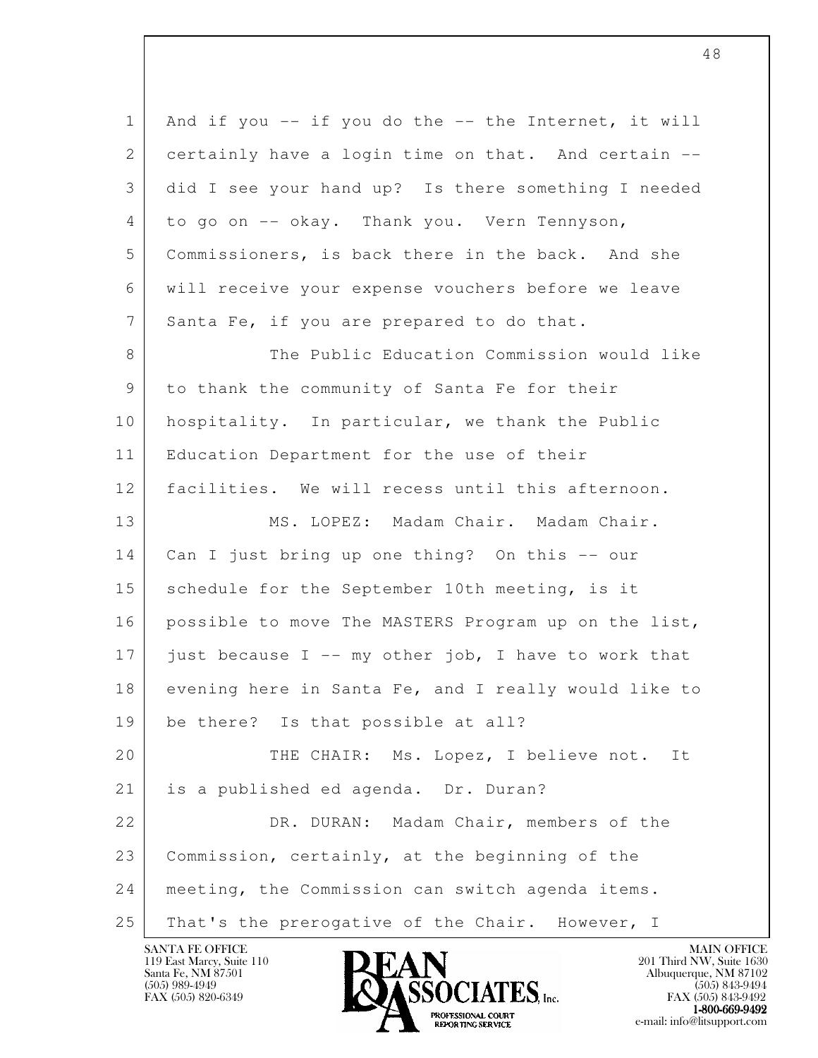| $\mathbf{1}$    | And if you $--$ if you do the $--$ the Internet, it will |
|-----------------|----------------------------------------------------------|
| 2               | certainly have a login time on that. And certain --      |
| 3               | did I see your hand up? Is there something I needed      |
| 4               | to go on -- okay. Thank you. Vern Tennyson,              |
| 5               | Commissioners, is back there in the back. And she        |
| 6               | will receive your expense vouchers before we leave       |
| $7\phantom{.0}$ | Santa Fe, if you are prepared to do that.                |
| 8               | The Public Education Commission would like               |
| 9               | to thank the community of Santa Fe for their             |
| 10              | hospitality. In particular, we thank the Public          |
| 11              | Education Department for the use of their                |
| 12              | facilities. We will recess until this afternoon.         |
| 13              | MS. LOPEZ: Madam Chair. Madam Chair.                     |
| 14              | Can I just bring up one thing? On this -- our            |
| 15              | schedule for the September 10th meeting, is it           |
| 16              | possible to move The MASTERS Program up on the list,     |
| 17              | just because I -- my other job, I have to work that      |
| 18              | evening here in Santa Fe, and I really would like to     |
| 19              | be there? Is that possible at all?                       |
| 20              | THE CHAIR: Ms. Lopez, I believe not. It                  |
| 21              | is a published ed agenda. Dr. Duran?                     |
| 22              | DR. DURAN: Madam Chair, members of the                   |
| 23              | Commission, certainly, at the beginning of the           |
| 24              | meeting, the Commission can switch agenda items.         |
| 25              | That's the prerogative of the Chair. However, I          |

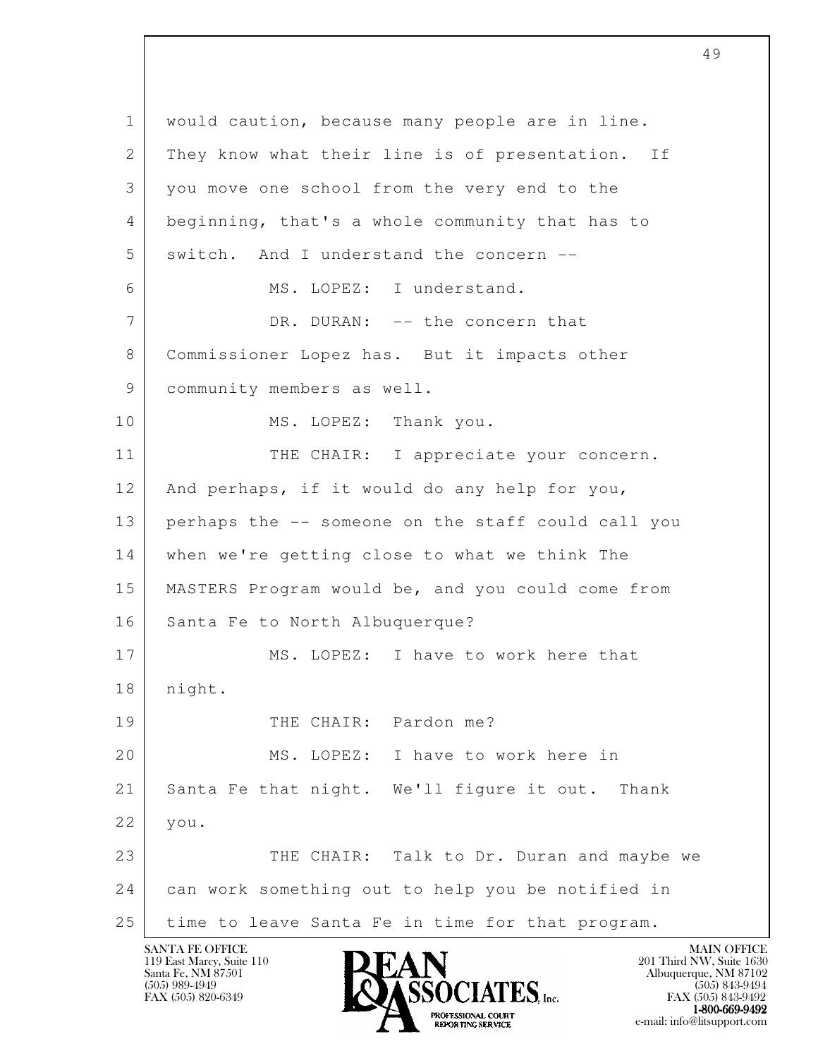l 1 would caution, because many people are in line. 2 They know what their line is of presentation. If 3 you move one school from the very end to the 4 beginning, that's a whole community that has to 5 switch. And I understand the concern --6 MS. LOPEZ: I understand. 7 DR. DURAN: -- the concern that 8 Commissioner Lopez has. But it impacts other 9 community members as well. 10 | MS. LOPEZ: Thank you. 11 THE CHAIR: I appreciate your concern. 12 And perhaps, if it would do any help for you, 13 perhaps the -- someone on the staff could call you 14 when we're getting close to what we think The 15 MASTERS Program would be, and you could come from 16 | Santa Fe to North Albuquerque? 17 MS. LOPEZ: I have to work here that 18 | night. 19 THE CHAIR: Pardon me? 20 MS. LOPEZ: I have to work here in 21 Santa Fe that night. We'll figure it out. Thank 22 you. 23 THE CHAIR: Talk to Dr. Duran and maybe we 24 can work something out to help you be notified in 25 time to leave Santa Fe in time for that program.

49

119 East Marcy, Suite 110<br>Santa Fe, NM 87501



FAX (505) 843-9492  $1-800-669-9492$ <br>PROFESSIONAL COURT **EXPORTING SERVICE**<br>REPORTING SERVICE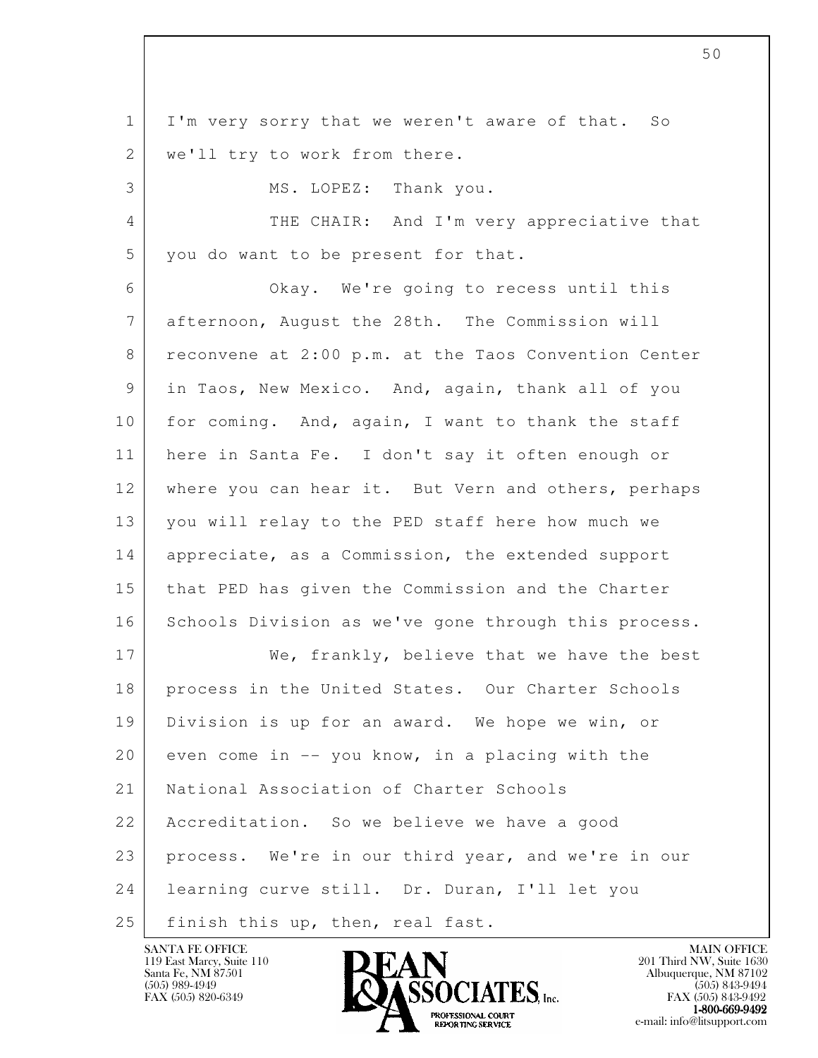l 1 I'm very sorry that we weren't aware of that. So 2 | we'll try to work from there. 3 MS. LOPEZ: Thank you. 4 THE CHAIR: And I'm very appreciative that 5 you do want to be present for that. 6 Okay. We're going to recess until this 7 | afternoon, August the 28th. The Commission will 8 reconvene at 2:00 p.m. at the Taos Convention Center 9 in Taos, New Mexico. And, again, thank all of you 10 for coming. And, again, I want to thank the staff 11 here in Santa Fe. I don't say it often enough or 12 where you can hear it. But Vern and others, perhaps 13 you will relay to the PED staff here how much we 14 appreciate, as a Commission, the extended support 15 that PED has given the Commission and the Charter 16 Schools Division as we've gone through this process. 17 We, frankly, believe that we have the best 18 process in the United States. Our Charter Schools 19 Division is up for an award. We hope we win, or  $20$  even come in  $-$  you know, in a placing with the 21 National Association of Charter Schools 22 Accreditation. So we believe we have a good 23 process. We're in our third year, and we're in our 24 learning curve still. Dr. Duran, I'll let you 25 finish this up, then, real fast.

119 East Marcy, Suite 110<br>Santa Fe, NM 87501



FAX (505) 843-9492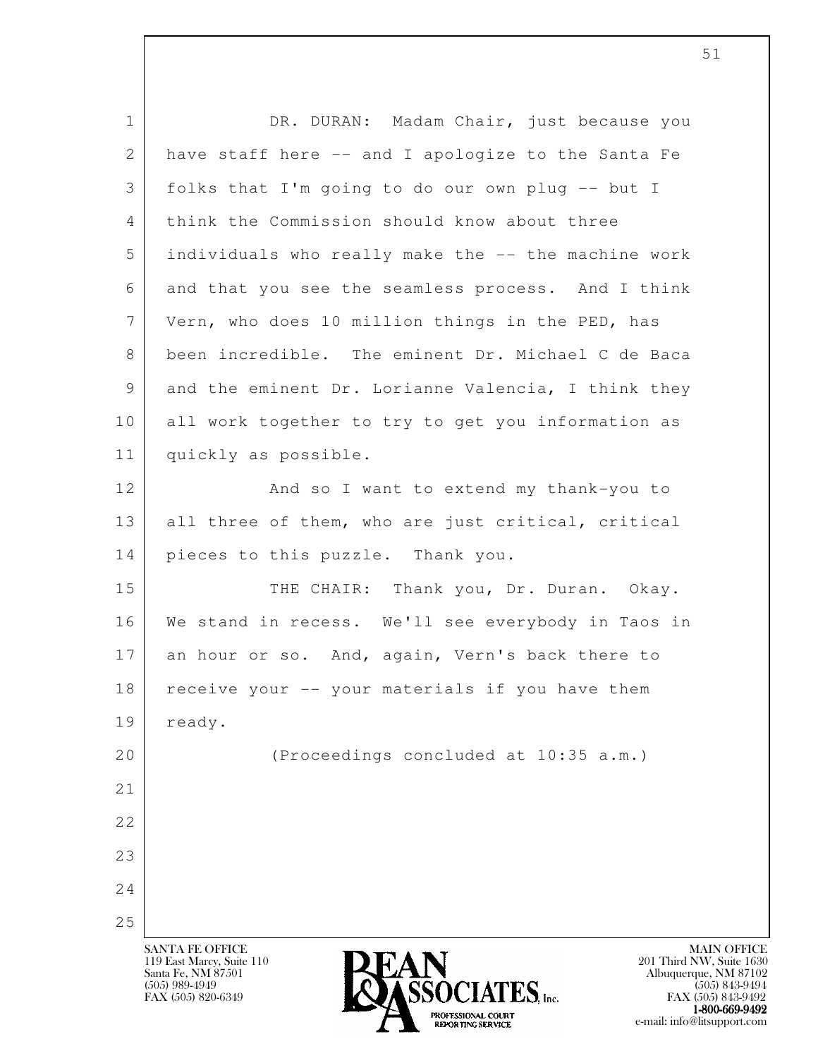| $\mathbf 1$ | DR. DURAN: Madam Chair, just because you            |
|-------------|-----------------------------------------------------|
| 2           | have staff here -- and I apologize to the Santa Fe  |
| 3           | folks that I'm going to do our own plug -- but I    |
| 4           | think the Commission should know about three        |
| 5           | individuals who really make the -- the machine work |
| 6           | and that you see the seamless process. And I think  |
| 7           | Vern, who does 10 million things in the PED, has    |
| 8           | been incredible. The eminent Dr. Michael C de Baca  |
| 9           | and the eminent Dr. Lorianne Valencia, I think they |
| 10          | all work together to try to get you information as  |
| 11          | quickly as possible.                                |
| 12          | And so I want to extend my thank-you to             |
| 13          | all three of them, who are just critical, critical  |
| 14          | pieces to this puzzle. Thank you.                   |
| 15          | THE CHAIR: Thank you, Dr. Duran. Okay.              |
| 16          | We stand in recess. We'll see everybody in Taos in  |
| 17          | an hour or so. And, again, Vern's back there to     |
| 18          | receive your -- your materials if you have them     |
| 19          | ready.                                              |
| 20          | (Proceedings concluded at 10:35 a.m.)               |
| 21          |                                                     |
| 22          |                                                     |
| 23          |                                                     |
| 24          |                                                     |
| 25          |                                                     |

1-800-669-9492 EXPORTING SERVICE e-mail: info@litsupport.com